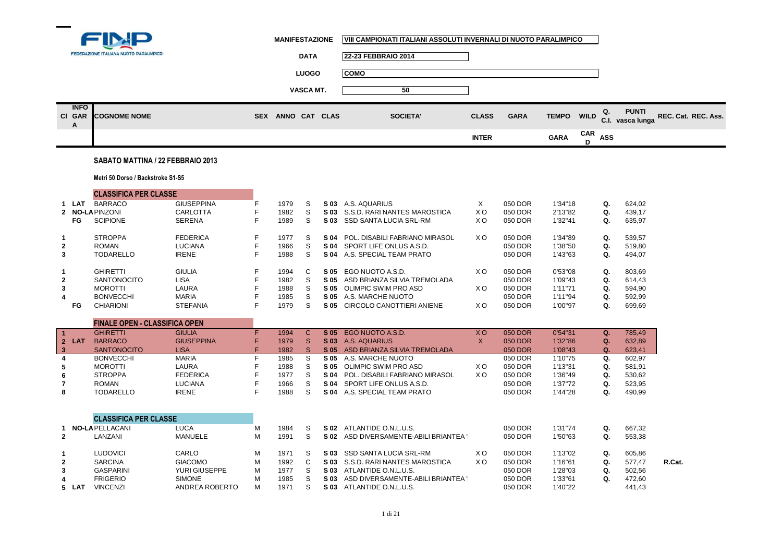

**Cl**

÷

**MANIFESTAZIONE VIII CAMPIONATI ITALIANI ASSOLUTI INVERNALI DI NUOTO PARALIMPICO**

|                                | FEDERAZIONE ITALIANA NUOTO PARALIMPICO                    |                                                |             |                      | <b>DATA</b>      | 22-23 FEBBRAIO 2014                                                                    |                                   |                               |                               |             |                |                                  |                     |
|--------------------------------|-----------------------------------------------------------|------------------------------------------------|-------------|----------------------|------------------|----------------------------------------------------------------------------------------|-----------------------------------|-------------------------------|-------------------------------|-------------|----------------|----------------------------------|---------------------|
|                                |                                                           |                                                |             |                      | <b>LUOGO</b>     | <b>COMO</b>                                                                            |                                   |                               |                               |             |                |                                  |                     |
|                                |                                                           |                                                |             |                      | <b>VASCA MT.</b> | 50                                                                                     |                                   |                               |                               |             |                |                                  |                     |
| <b>INFO</b><br><b>GAR</b><br>A | <b>COGNOME NOME</b>                                       |                                                | <b>SEX</b>  | ANNO CAT CLAS        |                  | <b>SOCIETA'</b>                                                                        | <b>CLASS</b>                      | <b>GARA</b>                   | <b>TEMPO</b>                  | <b>WILD</b> | Q.             | <b>PUNTI</b><br>C.I. vasca lunga | REC. Cat. REC. Ass. |
|                                |                                                           |                                                |             |                      |                  |                                                                                        | <b>INTER</b>                      |                               | <b>GARA</b>                   | CAR<br>D    | <b>ASS</b>     |                                  |                     |
|                                | SABATO MATTINA / 22 FEBBRAIO 2013                         |                                                |             |                      |                  |                                                                                        |                                   |                               |                               |             |                |                                  |                     |
|                                | Metri 50 Dorso / Backstroke S1-S5                         |                                                |             |                      |                  |                                                                                        |                                   |                               |                               |             |                |                                  |                     |
|                                | <b>CLASSIFICA PER CLASSE</b>                              |                                                |             |                      |                  |                                                                                        |                                   |                               |                               |             |                |                                  |                     |
| LAT<br>FG                      | <b>BARRACO</b><br><b>NO-LA PINZONI</b><br><b>SCIPIONE</b> | <b>GIUSEPPINA</b><br><b>CARLOTTA</b><br>SERENA | F<br>F<br>F | 1979<br>1982<br>1989 | S.<br>S<br>S     | S 03 A.S. AQUARIUS<br>S 03 S.S.D. RARI NANTES MAROSTICA<br>S 03 SSD SANTA LUCIA SRL-RM | $\times$<br>XO.<br>X <sub>O</sub> | 050 DOR<br>050 DOR<br>050 DOR | 1'34"18<br>2'13"82<br>1'32"41 |             | Q.<br>Q.<br>Q. | 624,02<br>439,17<br>635,97       |                     |
|                                |                                                           |                                                |             |                      |                  |                                                                                        |                                   |                               |                               |             |                |                                  |                     |

|                | <b>STROPPA</b>     | <b>FEDERICA</b> | 1977 |   | S 04 | POL. DISABILI FABRIANO MIRASOL | X <sub>O</sub> | 050 DOR | 1'34"89  | Q. | 539.57 |
|----------------|--------------------|-----------------|------|---|------|--------------------------------|----------------|---------|----------|----|--------|
| $\overline{2}$ | ROMAN              | <b>LUCIANA</b>  | 1966 | S | S 04 | SPORT LIFE ONLUS A.S.D.        |                | 050 DOR | 1'38"50  | Q. | 519.80 |
| 3              | TODARELLO          | <b>IRENE</b>    | 1988 |   | S 04 | A.S. SPECIAL TEAM PRATO        |                | 050 DOR | 1'43"63  | Q. | 494.07 |
|                | <b>GHIRETTI</b>    | <b>GIULIA</b>   | 1994 |   | S 05 | EGO NUOTO A.S.D.               | X <sub>O</sub> | 050 DOR | 0'53''08 | Q. | 803.69 |
| $\mathbf{2}$   | <b>SANTONOCITO</b> | LISA            | 1982 |   | S 05 | ASD BRIANZA SILVIA TREMOLADA   |                | 050 DOR | 1'09"43  | Q. | 614.43 |
| 3              | <b>MOROTTI</b>     | LAURA           | 1988 |   | S 05 | OLIMPIC SWIM PRO ASD           | X O            | 050 DOR | 1'11"71  | Q. | 594.90 |
| 4              | <b>BONVECCHI</b>   | <b>MARIA</b>    | 1985 |   | S 05 | A.S. MARCHE NUOTO              |                | 050 DOR | 1'11"94  | Q. | 592,99 |
| FG             | CHIARIONI          | <b>STEFANIA</b> | 1979 |   | S 05 | CIRCOLO CANOTTIERI ANIENE      | xо             | 050 DOR | 1'00"97  | Q. | 699,69 |
|                |                    |                 |      |   |      |                                |                |         |          |    |        |

٠

|       | <b>FINALE OPEN - CLASSIFICA OPEN</b> |                   |      |    |      |                                |     |         |         |    |        |
|-------|--------------------------------------|-------------------|------|----|------|--------------------------------|-----|---------|---------|----|--------|
|       | <b>GHIRETTI</b>                      | <b>GIULIA</b>     | 1994 |    | S 05 | EGO NUOTO A.S.D.               | X O | 050 DOR | 0'54"31 |    | 785.49 |
| 2 LAT | <b>BARRACO</b>                       | <b>GIUSEPPINA</b> | 1979 | S. | S 03 | A.S. AQUARIUS                  |     | 050 DOR | 1'32"86 | Q. | 632.89 |
|       | <b>SANTONOCITO</b>                   | <b>LISA</b>       | 1982 |    | S 05 | ASD BRIANZA SILVIA TREMOLADA   |     | 050 DOR | 1'08"43 | Q. | 623,41 |
|       | <b>BONVECCHI</b>                     | <b>MARIA</b>      | 1985 | S. | S 05 | A.S. MARCHE NUOTO              |     | 050 DOR | 1'10"75 | Q. | 602.97 |
|       | <b>MOROTTI</b>                       | LAURA             | 1988 | S. | S 05 | OLIMPIC SWIM PRO ASD           | X O | 050 DOR | 1'13"31 | Q. | 581.91 |
|       | <b>STROPPA</b>                       | <b>FEDERICA</b>   | 1977 |    | S 04 | POL. DISABILI FABRIANO MIRASOL | X O | 050 DOR | 1'36"49 | Q. | 530,62 |
|       | <b>ROMAN</b>                         | <b>LUCIANA</b>    | 1966 | S. | S 04 | SPORT LIFE ONLUS A.S.D.        |     | 050 DOR | 1'37"72 | Q. | 523,95 |
|       | <b>TODARELLO</b>                     | <b>IRENE</b>      | 1988 |    | S 04 | A.S. SPECIAL TEAM PRATO        |     | 050 DOR | 1'44"28 | Q. | 490,99 |

|                |                        | <b>CLASSIFICA PER CLASSE</b> |                |   |      |       |                                   |     |         |         |    |        |        |
|----------------|------------------------|------------------------------|----------------|---|------|-------|-----------------------------------|-----|---------|---------|----|--------|--------|
|                | <b>NO-LA PELLACANI</b> |                              | LUCA           | М | 1984 | S 02  | ATLANTIDE O.N.L.U.S.              |     | 050 DOR | 1'31"74 | Q. | 667.32 |        |
| $\overline{2}$ |                        | LANZANI                      | MANUELE        | м | 1991 | S 02. | ASD DIVERSAMENTE-ABILI BRIANTEA ' |     | 050 DOR | 1'50"63 | Q. | 553,38 |        |
|                |                        | <b>LUDOVICI</b>              | CARLO          | м | 197' | S 03. | SSD SANTA LUCIA SRL-RM            | xо  | 050 DOR | 1'13"02 | Q. | 605.86 |        |
| $\mathbf{2}$   |                        | <b>SARCINA</b>               | <b>GIACOMO</b> | м | 1992 | S 03. | S.S.D. RARI NANTES MAROSTICA      | X O | 050 DOR | 1'16"61 | Q. | 577.47 | R.Cat. |
| 3              |                        | <b>GASPARINI</b>             | YURI GIUSEPPE  | м | 1977 | S 03. | ATLANTIDE O.N.L.U.S.              |     | 050 DOR | 1'28"03 | Q. | 502.56 |        |
| 4              |                        | <b>FRIGERIO</b>              | <b>SIMONE</b>  | М | 1985 | S 03. | ASD DIVERSAMENTE-ABILI BRIANTEA   |     | 050 DOR | 1'33"61 | Q. | 472.60 |        |
| 5 LAT          |                        | <b>VINCENZI</b>              | ANDREA ROBERTO | м | 1971 | S 03  | ATLANTIDE O.N.L.U.S.              |     | 050 DOR | 1'40"22 |    | 441.43 |        |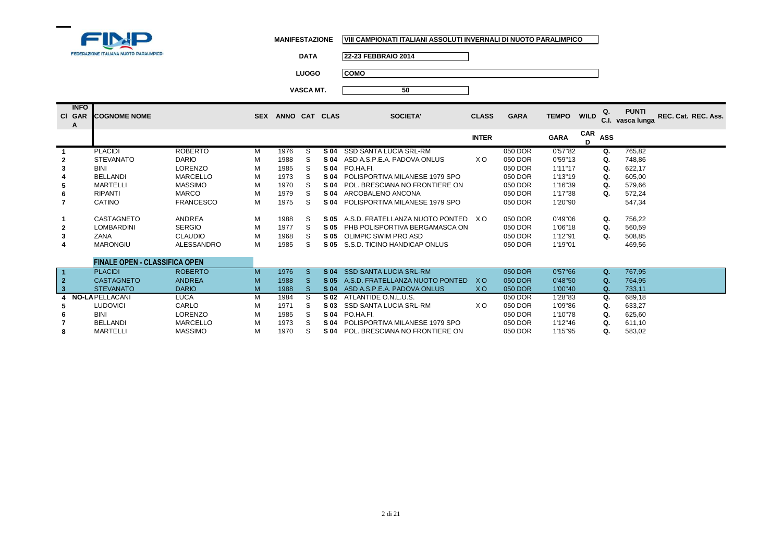

**DATA 22-23 FEBBRAIO 2014**

**LUOGO COMO**

| <b>INFO</b><br>CI GAR<br>A | <b>COGNOME NOME</b>                  |                   | <b>SEX</b> |      |    | ANNO CAT CLAS | <b>SOCIETA'</b>                 | <b>CLASS</b> | <b>GARA</b> | <b>TEMPO</b> | <b>WILD</b>     | Q.<br>C.I. | <b>PUNTI</b><br>vasca lunga | REC. Cat. REC. Ass. |
|----------------------------|--------------------------------------|-------------------|------------|------|----|---------------|---------------------------------|--------------|-------------|--------------|-----------------|------------|-----------------------------|---------------------|
|                            |                                      |                   |            |      |    |               |                                 | <b>INTER</b> |             | <b>GARA</b>  | <b>CAR</b><br>D | <b>ASS</b> |                             |                     |
|                            | <b>PLACIDI</b>                       | <b>ROBERTO</b>    | M          | 1976 | S  | S 04          | SSD SANTA LUCIA SRL-RM          |              | 050 DOR     | 0'57"82      |                 | Q.         | 765,82                      |                     |
| $\mathbf{2}$               | <b>STEVANATO</b>                     | <b>DARIO</b>      | м          | 1988 | S  | S 04          | ASD A.S.P.E.A. PADOVA ONLUS     | X O          | 050 DOR     | 0'59"13      |                 | Q.         | 748,86                      |                     |
| 3                          | <b>BINI</b>                          | <b>LORENZO</b>    | м          | 1985 | S  | S 04          | PO.HA.FI.                       |              | 050 DOR     | 1'11''17     |                 | Q.         | 622,17                      |                     |
|                            | <b>BELLANDI</b>                      | <b>MARCELLO</b>   | м          | 1973 | S  | S 04          | POLISPORTIVA MILANESE 1979 SPO  |              | 050 DOR     | 1'13"19      |                 | Q.         | 605,00                      |                     |
| 5                          | <b>MARTELLI</b>                      | <b>MASSIMO</b>    | M          | 1970 | S  | S 04          | POL. BRESCIANA NO FRONTIERE ON  |              | 050 DOR     | 1'16"39      |                 | Q.         | 579,66                      |                     |
| 6                          | <b>RIPANTI</b>                       | <b>MARCO</b>      | М          | 1979 | S. | S 04          | ARCOBALENO ANCONA               |              | 050 DOR     | 1'17"38      |                 | Ω.         | 572,24                      |                     |
|                            | CATINO                               | <b>FRANCESCO</b>  | М          | 1975 | S. | S 04          | POLISPORTIVA MILANESE 1979 SPO  |              | 050 DOR     | 1'20"90      |                 |            | 547,34                      |                     |
|                            | CASTAGNETO                           | ANDREA            | M          | 1988 | S. | S 05          | A.S.D. FRATELLANZA NUOTO PONTED | X O          | 050 DOR     | 0'49"06      |                 | Ω.         | 756,22                      |                     |
| $\mathbf{2}$               | <b>LOMBARDINI</b>                    | <b>SERGIO</b>     | М          | 1977 | S. | S 05          | PHB POLISPORTIVA BERGAMASCA ON  |              | 050 DOR     | 1'06"18      |                 | Q.         | 560,59                      |                     |
| 3                          | ZANA                                 | <b>CLAUDIO</b>    | м          | 1968 | S. | S 05          | OLIMPIC SWIM PRO ASD            |              | 050 DOR     | 1'12"91      |                 | Q.         | 508,85                      |                     |
| 4                          | <b>MARONGIU</b>                      | <b>ALESSANDRO</b> | М          | 1985 | S. | S 05          | S.S.D. TICINO HANDICAP ONLUS    |              | 050 DOR     | 1'19"01      |                 |            | 469,56                      |                     |
|                            | <b>FINALE OPEN - CLASSIFICA OPEN</b> |                   |            |      |    |               |                                 |              |             |              |                 |            |                             |                     |

|   | <b>PLACIDI</b>    | <b>ROBERTO</b> | M | 1976 |      | S 04 SSD SANTA LUCIA SRL-RM      |     | 050 DOR | 0'57"66 | Ω. | 767.95 |
|---|-------------------|----------------|---|------|------|----------------------------------|-----|---------|---------|----|--------|
|   | <b>CASTAGNETO</b> | <b>ANDREA</b>  | M | 1988 | S 05 | A.S.D. FRATELLANZA NUOTO PONTED  | X O | 050 DOR | 0'48"50 |    | 764,95 |
|   | <b>STEVANATO</b>  | <b>DARIO</b>   | M | 1988 | S 04 | ASD A.S.P.E.A. PADOVA ONLUS      | X O | 050 DOR | 1'00"40 | Ω. | 733,11 |
|   | NO-LA PELLACANI   | LUCA           | м | 1984 |      | <b>S 02</b> ATLANTIDE O.N.L.U.S. |     | 050 DOR | 1'28"83 |    | 689.18 |
|   | <b>LUDOVICI</b>   | CARLO          | м | 1971 |      | S 03 SSD SANTA LUCIA SRL-RM      | xο  | 050 DOR | 1'09"86 |    | 633,27 |
| 6 | <b>BINI</b>       | <b>LORENZO</b> | м | 1985 |      | S04 PO.HA.FI.                    |     | 050 DOR | 1'10"78 |    | 625.60 |
|   | <b>BELLANDI</b>   | MARCELLO       | м | 1973 | S 04 | POLISPORTIVA MILANESE 1979 SPO   |     | 050 DOR | 1'12"46 |    | 611.10 |
|   | <b>MARTELLI</b>   | <b>MASSIMO</b> | М | 1970 | S 04 | POL. BRESCIANA NO FRONTIERE ON   |     | 050 DOR | 1'15"95 |    | 583,02 |
|   |                   |                |   |      |      |                                  |     |         |         |    |        |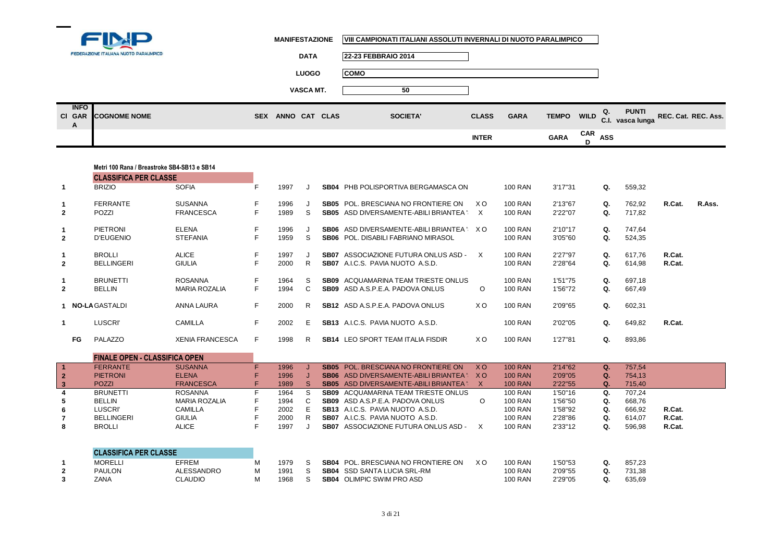

|                  | FEDERAZIONE ITALIANA NUOTO PARALIMPICO | <b>DATA</b>                 | 22-23 FEBBRAIO 2014 |              |             |                               |                                                         |
|------------------|----------------------------------------|-----------------------------|---------------------|--------------|-------------|-------------------------------|---------------------------------------------------------|
|                  |                                        | <b>LUOGO</b>                | <b>COMO</b>         |              |             |                               |                                                         |
|                  |                                        | <b>VASCA MT.</b>            | 50                  |              |             |                               |                                                         |
| <b>INFO</b><br>A | CI GAR COGNOME NOME                    | ANNO CAT CLAS<br><b>SEX</b> | <b>SOCIETA'</b>     | <b>CLASS</b> | <b>GARA</b> | TEMPO WILD $Q$ .              | <b>PUNTI</b><br>REC. Cat. REC. Ass.<br>C.I. vasca lunga |
|                  |                                        |                             |                     | <b>INTER</b> |             | $CAR$ ASS<br><b>GARA</b><br>D |                                                         |

|              | Metri 100 Rana / Breastroke SB4-SB13 e SB14 |                        |    |      |         |             |                                                 |                |                |          |    |        |        |        |
|--------------|---------------------------------------------|------------------------|----|------|---------|-------------|-------------------------------------------------|----------------|----------------|----------|----|--------|--------|--------|
|              | <b>CLASSIFICA PER CLASSE</b>                |                        |    |      |         |             |                                                 |                |                |          |    |        |        |        |
| 1            | <b>BRIZIO</b>                               | <b>SOFIA</b>           | F. | 1997 | $\cdot$ | SB04        | PHB POLISPORTIVA BERGAMASCA ON                  |                | <b>100 RAN</b> | 3'17''31 | Q. | 559,32 |        |        |
| 1            | <b>FERRANTE</b>                             | <b>SUSANNA</b>         | F. | 1996 |         | SB05        | POL. BRESCIANA NO FRONTIERE ON                  | X O            | <b>100 RAN</b> | 2'13"67  | Q. | 762,92 | R.Cat. | R.Ass. |
| $\mathbf{2}$ | <b>POZZI</b>                                | <b>FRANCESCA</b>       | F. | 1989 | S       |             | <b>SB05</b> ASD DIVERSAMENTE-ABILI BRIANTEA '   | $\mathsf{X}$   | <b>100 RAN</b> | 2'22"07  | Q. | 717,82 |        |        |
| 1            | <b>PIETRONI</b>                             | ELENA                  | F. | 1996 |         |             | <b>SB06</b> ASD DIVERSAMENTE-ABILI BRIANTEA X O |                | <b>100 RAN</b> | 2'10"17  | Q. | 747,64 |        |        |
| $\mathbf{2}$ | D'EUGENIO                                   | <b>STEFANIA</b>        | F  | 1959 | S       |             | <b>SB06</b> POL. DISABILI FABRIANO MIRASOL      |                | <b>100 RAN</b> | 3'05"60  | Q. | 524,35 |        |        |
|              | <b>BROLLI</b>                               | <b>ALICE</b>           | F. | 1997 |         | <b>SB07</b> | ASSOCIAZIONE FUTURA ONLUS ASD -                 | X              | <b>100 RAN</b> | 2'27"97  | Q. | 617,76 | R.Cat. |        |
| $\mathbf{2}$ | <b>BELLINGERI</b>                           | <b>GIULIA</b>          | F  | 2000 | R       | SB07        | A.I.C.S. PAVIA NUOTO A.S.D.                     |                | <b>100 RAN</b> | 2'28"64  | Q. | 614,98 | R.Cat. |        |
| 1            | <b>BRUNETTI</b>                             | <b>ROSANNA</b>         | F. | 1964 | S       | SB09        | ACQUAMARINA TEAM TRIESTE ONLUS                  |                | <b>100 RAN</b> | 1'51"75  | Q. | 697,18 |        |        |
| $\mathbf{2}$ | <b>BELLIN</b>                               | <b>MARIA ROZALIA</b>   | F. | 1994 | C       |             | <b>SB09</b> ASD A.S.P.E.A. PADOVA ONLUS         | $\Omega$       | <b>100 RAN</b> | 1'56"72  | Q. | 667,49 |        |        |
|              | <b>NO-LA GASTALDI</b>                       | ANNA LAURA             | F. | 2000 | R.      |             | <b>SB12</b> ASD A.S.P.E.A. PADOVA ONLUS         | X <sub>O</sub> | <b>100 RAN</b> | 2'09"65  | Q. | 602,31 |        |        |
| 1            | <b>LUSCRI</b>                               | <b>CAMILLA</b>         | F. | 2002 | E       |             | <b>SB13</b> A.I.C.S. PAVIA NUOTO A.S.D.         |                | <b>100 RAN</b> | 2'02"05  | Q. | 649,82 | R.Cat. |        |
| FG           | PALAZZO                                     | <b>XENIA FRANCESCA</b> | F. | 1998 | R.      |             | <b>SB14</b> LEO SPORT TEAM ITALIA FISDIR        | X <sub>O</sub> | <b>100 RAN</b> | 1'27"81  | Q. | 893,86 |        |        |

|    | <b>FINALE OPEN - CLASSIFICA OPEN</b> |                  |      |                                                                                                         |  |
|----|--------------------------------------|------------------|------|---------------------------------------------------------------------------------------------------------|--|
|    | <b>FERRANTE</b>                      | <b>SUSANNA</b>   | 1996 | <b>SB05</b> POL. BRESCIANA NO FRONTIERE ON<br>2'14"62<br>$X_{\Omega}$<br><b>100 RAN</b><br>757.54<br>Ο. |  |
|    | <b>PIETRONI</b>                      | <b>ELENA</b>     | 1996 | SB06 ASD DIVERSAMENTE-ABILI BRIANTEA : XO<br><b>100 RAN</b><br>2'09"05<br>754.13                        |  |
|    | <b>POZZI</b>                         | <b>FRANCESCA</b> | 1989 | <b>100 RAN</b><br>2'22"55<br><b>SB05</b> ASD DIVERSAMENTE-ABILI BRIANTEA<br>715,40                      |  |
|    | <b>BRUNETTI</b>                      | <b>ROSANNA</b>   | 1964 | <b>SB09</b> ACQUAMARINA TEAM TRIESTE ONLUS<br><b>100 RAN</b><br>1'50"16<br>707.24<br>Ω.                 |  |
| 5. | <b>BELLIN</b>                        | MARIA ROZALIA    | 1994 | <b>SB09</b> ASD A S.P.E.A. PADOVA ONLUS<br><b>100 RAN</b><br>1'56"50<br>668.76<br>Q.                    |  |
| 6  | LUSCRI'                              | CAMILLA          | 2002 | <b>100 RAN</b><br><b>SB13</b> A.I.C.S. PAVIA NUOTO A.S.D.<br>1'58"92<br>666.92<br>R.Cat.<br>Q.          |  |
|    | BELLINGERI                           | <b>GIULIA</b>    | 2000 | <b>SB07</b> A.I.C.S. PAVIA NUOTO A.S.D.<br><b>100 RAN</b><br>2'28"86<br>R.Cat.<br>614.07<br>Q.          |  |
| 8  | <b>BROLLI</b>                        | ALICE            | 1997 | <b>SB07</b> ASSOCIAZIONE FUTURA ONLUS ASD -<br><b>100 RAN</b><br>596,98<br>R.Cat.<br>2'33"12            |  |

|   | <b>CLASSIFICA PER CLASSE</b> |                |      |  |                                            |    |                |         |        |
|---|------------------------------|----------------|------|--|--------------------------------------------|----|----------------|---------|--------|
|   | <b>MORELLI</b>               | <b>EFREM</b>   | 1979 |  | <b>SB04</b> POL. BRESCIANA NO FRONTIERE ON | ×с | <b>100 RAN</b> | 1'50"53 | 857.23 |
| 2 | <b>PAULON</b>                | ALESSANDRO     | 1991 |  | <b>SB04</b> SSD SANTA LUCIA SRL-RM         |    | <b>100 RAN</b> | 2'09"55 | 731.38 |
|   | ZANA                         | <b>JLAUDIO</b> | 1968 |  | <b>SB04 OLIMPIC SWIM PRO ASD</b>           |    | <b>100 RAN</b> | 2'29"05 | 635.69 |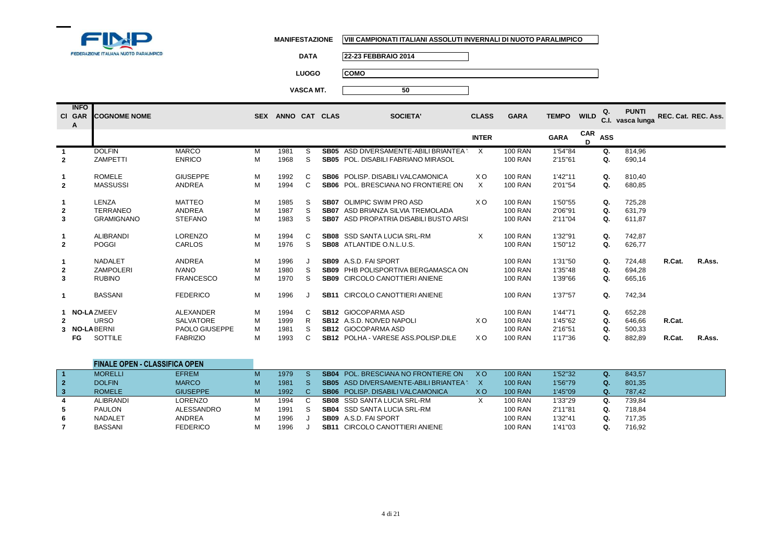

**DATA 22-23 FEBBRAIO 2014**

**LUOGO COMO**

|                     | <b>INFO</b><br>CI GAR<br>A | <b>ICOGNOME NOME</b>                                          |                                                                                       |                       | SEX ANNO CAT CLAS                    |                        |                                           | <b>SOCIETA'</b>                                                                                                                                                                       | <b>CLASS</b> | <b>GARA</b>                                                                            | <b>TEMPO</b>                                        | <b>WILD</b> | Q.                         | <b>PUNTI</b><br>C.I. vasca lunga               | REC. Cat. REC. Ass. |        |
|---------------------|----------------------------|---------------------------------------------------------------|---------------------------------------------------------------------------------------|-----------------------|--------------------------------------|------------------------|-------------------------------------------|---------------------------------------------------------------------------------------------------------------------------------------------------------------------------------------|--------------|----------------------------------------------------------------------------------------|-----------------------------------------------------|-------------|----------------------------|------------------------------------------------|---------------------|--------|
|                     |                            |                                                               |                                                                                       |                       |                                      |                        |                                           |                                                                                                                                                                                       | <b>INTER</b> |                                                                                        | <b>GARA</b>                                         | CAR<br>D.   | <b>ASS</b>                 |                                                |                     |        |
| $\overline{2}$      |                            | <b>DOLFIN</b><br><b>ZAMPETTI</b>                              | <b>MARCO</b><br><b>ENRICO</b>                                                         | M<br>M                | 1981<br>1968                         | S.<br>S                | <b>SB05</b><br><b>SB05</b>                | ASD DIVERSAMENTE-ABILI BRIANTEA '<br>POL. DISABILI FABRIANO MIRASOL                                                                                                                   | $\times$     | <b>100 RAN</b><br><b>100 RAN</b>                                                       | 1'54"84<br>2'15"61                                  |             | Q.<br>Q.                   | 814,96<br>690,14                               |                     |        |
| $\overline{2}$      |                            | <b>ROMELE</b><br><b>MASSUSSI</b>                              | <b>GIUSEPPE</b><br>ANDREA                                                             | M<br>M                | 1992<br>1994                         | C<br>C                 |                                           | SB06 POLISP, DISABILI VALCAMONICA<br><b>SB06</b> POL. BRESCIANA NO FRONTIERE ON                                                                                                       | XO.<br>X     | <b>100 RAN</b><br><b>100 RAN</b>                                                       | 1'42"11<br>2'01"54                                  |             | Q.<br>Q.                   | 810,40<br>680,85                               |                     |        |
| $\overline{2}$<br>3 |                            | LENZA<br><b>TERRANEO</b><br><b>GRAMIGNANO</b>                 | <b>MATTEO</b><br>ANDREA<br><b>STEFANO</b>                                             | M<br>M<br>M           | 1985<br>1987<br>1983                 | S<br><sub>S</sub><br>S | <b>SB07</b><br><b>SB07</b><br><b>SB07</b> | OLIMPIC SWIM PRO ASD<br>ASD BRIANZA SILVIA TREMOLADA<br>ASD PROPATRIA DISABILI BUSTO ARSI                                                                                             | X O          | <b>100 RAN</b><br><b>100 RAN</b><br><b>100 RAN</b>                                     | 1'50"55<br>2'06"91<br>2'11"04                       |             | Q.<br>Q.<br>Q.             | 725.28<br>631,79<br>611,87                     |                     |        |
| $\overline{2}$      |                            | <b>ALIBRANDI</b><br><b>POGGI</b>                              | <b>LORENZO</b><br>CARLOS                                                              | M<br>M                | 1994<br>1976                         | C<br>S                 |                                           | <b>SB08</b> SSD SANTA LUCIA SRL-RM<br><b>SB08</b> ATLANTIDE O.N.L.U.S.                                                                                                                | X            | <b>100 RAN</b><br><b>100 RAN</b>                                                       | 1'32"91<br>1'50"12                                  |             | Q.<br>Q.                   | 742.87<br>626,77                               |                     |        |
| $\mathbf{2}$<br>3   |                            | NADALET<br><b>ZAMPOLERI</b><br><b>RUBINO</b>                  | ANDREA<br><b>IVANO</b><br><b>FRANCESCO</b>                                            | M<br>M<br>M           | 1996<br>1980<br>1970                 | J<br>S<br>S            | SB09<br>SB09                              | SB09 A.S.D. FAI SPORT<br>PHB POLISPORTIVA BERGAMASCA ON<br>CIRCOLO CANOTTIERI ANIENE                                                                                                  |              | <b>100 RAN</b><br><b>100 RAN</b><br><b>100 RAN</b>                                     | 1'31"50<br>1'35"48<br>1'39"66                       |             | Q.<br>Q.<br>Q.             | 724,48<br>694,28<br>665,16                     | R.Cat.              | R.Ass. |
|                     | 3 NO-LABERNI<br>FG         | <b>BASSANI</b><br><b>NO-LAZMEEV</b><br><b>URSO</b><br>SOTTILE | <b>FEDERICO</b><br>ALEXANDER<br><b>SALVATORE</b><br>PAOLO GIUSEPPE<br><b>FABRIZIO</b> | M<br>M<br>M<br>M<br>M | 1996<br>1994<br>1999<br>1981<br>1993 | J<br>C<br>R<br>S<br>C  |                                           | <b>SB11 CIRCOLO CANOTTIERI ANIENE</b><br><b>SB12 GIOCOPARMA ASD</b><br><b>SB12</b> A.S.D. NOIVED NAPOLI<br><b>SB12 GIOCOPARMA ASD</b><br><b>SB12 POLHA - VARESE ASS. POLISP. DILE</b> | X O<br>XO.   | <b>100 RAN</b><br><b>100 RAN</b><br><b>100 RAN</b><br><b>100 RAN</b><br><b>100 RAN</b> | 1'37"57<br>1'44"71<br>1'45"62<br>2'16"51<br>1'17"36 |             | Q.<br>Q.<br>Q.<br>Q.<br>Q. | 742,34<br>652,28<br>646,66<br>500,33<br>882,89 | R.Cat.<br>R.Cat.    | R.Ass. |

|              | <b>FINALE OPEN - CLASSIFICA OPEN</b> |                 |   |      |    |      |                                               |     |                |         |              |        |
|--------------|--------------------------------------|-----------------|---|------|----|------|-----------------------------------------------|-----|----------------|---------|--------------|--------|
|              | <b>MORELLI</b>                       | <b>EFREM</b>    | м | 1979 |    |      | <b>SB04</b> POL. BRESCIANA NO FRONTIERE ON    | X O | <b>100 RAN</b> | 1'52"32 |              | 843.57 |
| $\mathbf{2}$ | <b>DOLFIN</b>                        | <b>MARCO</b>    | M | 1981 |    |      | <b>SB05</b> ASD DIVERSAMENTE-ABILI BRIANTEA " |     | <b>100 RAN</b> | 1'56"79 | $Q_{\rm{L}}$ | 801,35 |
|              | <b>ROMELE</b>                        | <b>GIUSEPPE</b> | м | 1992 |    |      | <b>SB06</b> POLISP, DISABILI VALCAMONICA      | xо  | <b>100 RAN</b> | 1'45"09 | Q.           | 787,42 |
| 4            | <b>ALIBRANDI</b>                     | LORENZO         | м | 1994 | C. |      | <b>SB08</b> SSD SANTA LUCIA SRL-RM            |     | 100 RAN        | 1'33"29 | Q.           | 739,84 |
| 5            | PAULON                               | ALESSANDRO      | м | 1991 |    |      | <b>SB04</b> SSD SANTA LUCIA SRL-RM            |     | <b>100 RAN</b> | 2'11"81 | Q.           | 718.84 |
| 6            | <b>NADALET</b>                       | <b>ANDREA</b>   | м | 1996 |    |      | SB09 A.S.D. FAI SPORT                         |     | <b>100 RAN</b> | 1'32"41 | Q.           | 717,35 |
|              | <b>BASSANI</b>                       | <b>FEDERICO</b> | M | 1996 |    | SB11 | CIRCOLO CANOTTIERI ANIENE                     |     | <b>100 RAN</b> | 1'41"03 | Q.           | 716,92 |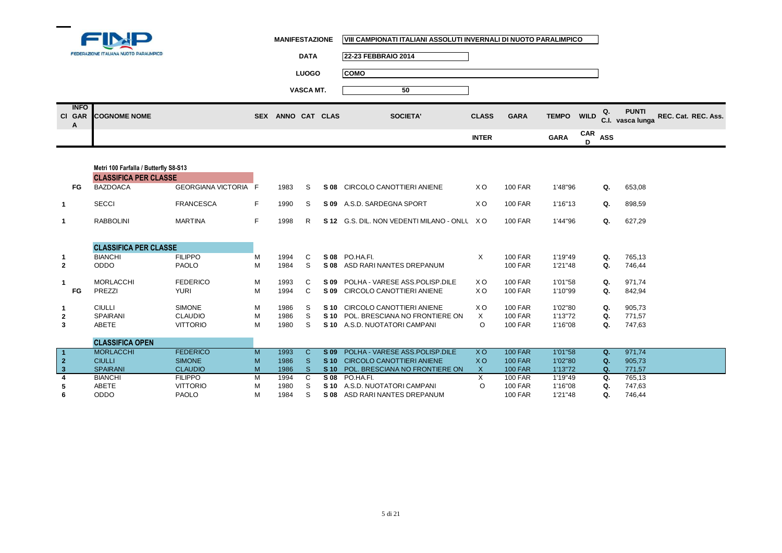

|                            | <b>FEDERAZIONE ITALIANA NUOTO PARALIMPICO</b> | <b>DATA</b>                 | 22-23 FEBBRAIO 2014 |              |             |                   |          |                                        |                     |
|----------------------------|-----------------------------------------------|-----------------------------|---------------------|--------------|-------------|-------------------|----------|----------------------------------------|---------------------|
|                            |                                               | <b>LUOGO</b>                | <b>COMO</b>         |              |             |                   |          |                                        |                     |
|                            |                                               | VASCA MT.                   | 50                  |              |             |                   |          |                                        |                     |
| <b>INFO</b><br>CI GAR<br>A | <b>COGNOME NOME</b>                           | ANNO CAT CLAS<br><b>SEX</b> | SOCIETA'            | <b>CLASS</b> | <b>GARA</b> | <b>TEMPO WILD</b> |          | <b>PUNTI</b><br>Q.<br>C.I. vasca lunga | REC. Cat. REC. Ass. |
|                            |                                               |                             |                     | <b>INTER</b> |             | <b>GARA</b>       | CAR<br>n | ASS                                    |                     |
|                            |                                               |                             |                     |              |             |                   |          |                                        |                     |

| Metri 100 Farfalla / Butterfly S8-S13 |                              |                      |    |      |              |                 |                                             |           |                |         |    |        |
|---------------------------------------|------------------------------|----------------------|----|------|--------------|-----------------|---------------------------------------------|-----------|----------------|---------|----|--------|
|                                       | <b>CLASSIFICA PER CLASSE</b> |                      |    |      |              |                 |                                             |           |                |         |    |        |
| FG                                    | <b>BAZDOACA</b>              | GEORGIANA VICTORIA F |    | 1983 | S.           |                 | S 08 CIRCOLO CANOTTIERI ANIENE              | XO.       | <b>100 FAR</b> | 1'48"96 | Q. | 653,08 |
| $\mathbf{1}$                          | <b>SECCI</b>                 | <b>FRANCESCA</b>     | F. | 1990 | -S           |                 | S 09 A.S.D. SARDEGNA SPORT                  | XO.       | <b>100 FAR</b> | 1'16"13 | Q. | 898,59 |
| $\mathbf{1}$                          | <b>RABBOLINI</b>             | <b>MARTINA</b>       | F  | 1998 | R            |                 | S 12 G.S. DIL. NON VEDENTI MILANO - ONLL XO |           | <b>100 FAR</b> | 1'44"96 | Q. | 627,29 |
|                                       |                              |                      |    |      |              |                 |                                             |           |                |         |    |        |
|                                       | <b>CLASSIFICA PER CLASSE</b> |                      |    |      |              |                 |                                             |           |                |         |    |        |
| 1                                     | <b>BIANCHI</b>               | <b>FILIPPO</b>       | M  | 1994 | C            |                 | S 08 PO.HA.FI.                              | X         | <b>100 FAR</b> | 1'19"49 | Q. | 765,13 |
| $\overline{2}$                        | <b>ODDO</b>                  | <b>PAOLO</b>         | M  | 1984 | S            |                 | S 08 ASD RARI NANTES DREPANUM               |           | <b>100 FAR</b> | 1'21"48 | Q. | 746,44 |
| 1                                     | <b>MORLACCHI</b>             | <b>FEDERICO</b>      | М  | 1993 | C.           |                 | S 09 POLHA - VARESE ASS POLISP DILE         | X O       | <b>100 FAR</b> | 1'01"58 | Q. | 971,74 |
| FG                                    | PREZZI                       | <b>YURI</b>          | М  | 1994 | C            |                 | S 09 CIRCOLO CANOTTIERI ANIENE              | XO.       | <b>100 FAR</b> | 1'10"99 | Q. | 842,94 |
| $\mathbf{1}$                          | <b>CIULLI</b>                | <b>SIMONE</b>        | М  | 1986 | -S           |                 | S 10 CIRCOLO CANOTTIERI ANIENE              | XO.       | <b>100 FAR</b> | 1'02"80 | Q. | 905,73 |
| $\overline{2}$                        | <b>SPAIRANI</b>              | <b>CLAUDIO</b>       | M  | 1986 | S.           |                 | S 10 POL. BRESCIANA NO FRONTIERE ON         | X         | <b>100 FAR</b> | 1'13"72 | Q. | 771,57 |
| 3                                     | ABETE                        | <b>VITTORIO</b>      | M  | 1980 | S            |                 | S 10 A.S.D. NUOTATORI CAMPANI               | $\circ$   | <b>100 FAR</b> | 1'16"08 | Q. | 747,63 |
|                                       | <b>CLASSIFICA OPEN</b>       |                      |    |      |              |                 |                                             |           |                |         |    |        |
|                                       | <b>MORLACCHI</b>             | <b>FEDERICO</b>      | M  | 1993 | $\mathbf{C}$ | $S$ 09          | POLHA - VARESE ASS.POLISP.DILE              | XO.       | <b>100 FAR</b> | 1'01"58 | Q. | 971,74 |
| $\overline{2}$                        | <b>CIULLI</b>                | <b>SIMONE</b>        | M  | 1986 | <sub>S</sub> | S <sub>10</sub> | <b>CIRCOLO CANOTTIERI ANIENE</b>            | <b>XO</b> | <b>100 FAR</b> | 1'02"80 | Q. | 905,73 |
| $\mathbf{3}$                          | <b>SPAIRANI</b>              | <b>CLAUDIO</b>       | M  | 1986 | <sub>S</sub> | $S$ 10          | POL. BRESCIANA NO FRONTIERE ON              | X         | <b>100 FAR</b> | 1'13"72 | Q. | 771,57 |
| $\overline{4}$                        | <b>BIANCHI</b>               | <b>FILIPPO</b>       | M  | 1994 | C            | S 08            | PO.HA.FI.                                   | X         | <b>100 FAR</b> | 1'19"49 | Q. | 765,13 |
| 5                                     | ABETE                        | <b>VITTORIO</b>      | M  | 1980 | S            |                 | S 10 A.S.D. NUOTATORI CAMPANI               | $\circ$   | <b>100 FAR</b> | 1'16"08 | Q. | 747,63 |
| 6                                     | ODDO                         | <b>PAOLO</b>         | M  | 1984 | S            |                 | S 08 ASD RARI NANTES DREPANUM               |           | <b>100 FAR</b> | 1'21"48 | Q. | 746,44 |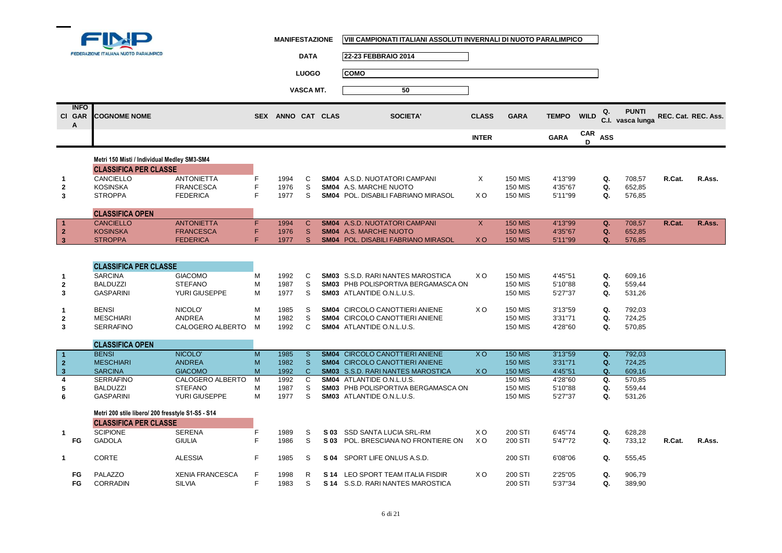

|                            | FEDERAZIONE ITALIANA NUOTO PARALIMPICO            |                        |   |                   | <b>DATA</b>  | 22-23 FEBBRAIO 2014                        |                |                |              |                 |             |                                  |                     |        |
|----------------------------|---------------------------------------------------|------------------------|---|-------------------|--------------|--------------------------------------------|----------------|----------------|--------------|-----------------|-------------|----------------------------------|---------------------|--------|
|                            |                                                   |                        |   |                   | <b>LUOGO</b> | <b>COMO</b>                                |                |                |              |                 |             |                                  |                     |        |
|                            |                                                   |                        |   |                   |              |                                            |                |                |              |                 |             |                                  |                     |        |
|                            |                                                   |                        |   |                   | VASCA MT.    | 50                                         |                |                |              |                 |             |                                  |                     |        |
| <b>INFO</b><br>CI GAR<br>A | <b>COGNOME NOME</b>                               |                        |   | SEX ANNO CAT CLAS |              | <b>SOCIETA'</b>                            | <b>CLASS</b>   | <b>GARA</b>    | <b>TEMPO</b> | <b>WILD</b>     | Q.          | <b>PUNTI</b><br>C.I. vasca lunga | REC. Cat. REC. Ass. |        |
|                            |                                                   |                        |   |                   |              |                                            | <b>INTER</b>   |                | <b>GARA</b>  | <b>CAR</b><br>D | <b>ASS</b>  |                                  |                     |        |
|                            | Metri 150 Misti / Individual Medley SM3-SM4       |                        |   |                   |              |                                            |                |                |              |                 |             |                                  |                     |        |
|                            | <b>CLASSIFICA PER CLASSE</b>                      |                        |   |                   |              |                                            |                |                |              |                 |             |                                  |                     |        |
| 1                          | CANCIELLO                                         | <b>ANTONIETTA</b>      | F | 1994              | C            | <b>SM04</b> A.S.D. NUOTATORI CAMPANI       | X              | <b>150 MIS</b> | 4'13"99      |                 | Q.          | 708,57                           | R.Cat.              | R.Ass. |
| $\mathbf{2}$               | <b>KOSINSKA</b>                                   | <b>FRANCESCA</b>       | F | 1976              | S            | SM04 A.S. MARCHE NUOTO                     |                | <b>150 MIS</b> | 4'35"67      |                 | Q.          | 652,85                           |                     |        |
| 3                          | <b>STROPPA</b>                                    | <b>FEDERICA</b>        | F | 1977              | S            | SM04 POL. DISABILI FABRIANO MIRASOL        | X <sub>O</sub> | <b>150 MIS</b> | 5'11"99      |                 | Q.          | 576,85                           |                     |        |
|                            |                                                   |                        |   |                   |              |                                            |                |                |              |                 |             |                                  |                     |        |
|                            | <b>CLASSIFICA OPEN</b>                            |                        |   |                   |              |                                            |                |                |              |                 |             |                                  |                     |        |
|                            | <b>CANCIELLO</b>                                  | <b>ANTONIETTA</b>      | F | 1994              | $\mathsf{C}$ | SM04 A.S.D. NUOTATORI CAMPANI              | $\mathsf{X}$   | <b>150 MIS</b> | 4'13"99      |                 | Q.          | 708,57                           | R.Cat.              | R.Ass. |
| $\bf{2}$                   | <b>KOSINSKA</b>                                   | <b>FRANCESCA</b>       | F | 1976              | $\mathbf{s}$ | <b>SM04</b> A.S. MARCHE NUOTO              |                | <b>150 MIS</b> | 4'35"67      |                 | Q.          | 652,85                           |                     |        |
| $\mathbf{3}$               | <b>STROPPA</b>                                    | <b>FEDERICA</b>        | F | 1977              | S            | <b>SM04 POL. DISABILI FABRIANO MIRASOL</b> | <b>XO</b>      | <b>150 MIS</b> | 5'11"99      |                 | Q.          | 576,85                           |                     |        |
|                            |                                                   |                        |   |                   |              |                                            |                |                |              |                 |             |                                  |                     |        |
|                            |                                                   |                        |   |                   |              |                                            |                |                |              |                 |             |                                  |                     |        |
|                            | <b>CLASSIFICA PER CLASSE</b>                      |                        |   |                   |              |                                            |                |                |              |                 |             |                                  |                     |        |
| 1                          | <b>SARCINA</b>                                    | <b>GIACOMO</b>         | M | 1992              | C            | <b>SM03</b> S.S.D. RARI NANTES MAROSTICA   | X <sub>O</sub> | <b>150 MIS</b> | 4'45"51      |                 | Q.          | 609,16                           |                     |        |
| $\mathbf 2$                | <b>BALDUZZI</b>                                   | <b>STEFANO</b>         | M | 1987              | S            | SM03 PHB POLISPORTIVA BERGAMASCA ON        |                | <b>150 MIS</b> | 5'10"88      |                 | Q.          | 559,44                           |                     |        |
| 3                          | <b>GASPARINI</b>                                  | YURI GIUSEPPE          | M | 1977              | S            | <b>SM03</b> ATLANTIDE O.N.L.U.S.           |                | <b>150 MIS</b> | 5'27"37      |                 | Q.          | 531,26                           |                     |        |
|                            | <b>BENSI</b>                                      | NICOLO'                | M | 1985              | S            | SM04 CIRCOLO CANOTTIERI ANIENE             | X <sub>O</sub> | <b>150 MIS</b> | 3'13"59      |                 | Q.          | 792,03                           |                     |        |
| 1<br>$\mathbf{2}$          | <b>MESCHIARI</b>                                  | <b>ANDREA</b>          | M | 1982              | S            | SM04 CIRCOLO CANOTTIERI ANIENE             |                | <b>150 MIS</b> | 3'31"71      |                 | Q.          | 724,25                           |                     |        |
| 3                          | <b>SERRAFINO</b>                                  | CALOGERO ALBERTO       | M | 1992              | C            | <b>SM04</b> ATLANTIDE O.N.L.U.S.           |                | <b>150 MIS</b> | 4'28"60      |                 | Q.          | 570,85                           |                     |        |
|                            |                                                   |                        |   |                   |              |                                            |                |                |              |                 |             |                                  |                     |        |
|                            | <b>CLASSIFICA OPEN</b>                            |                        |   |                   |              |                                            |                |                |              |                 |             |                                  |                     |        |
|                            | <b>BENSI</b>                                      | NICOLO'                | M | 1985              | <sub>S</sub> | <b>SM04 CIRCOLO CANOTTIERI ANIENE</b>      | <b>XO</b>      | <b>150 MIS</b> | 3'13"59      |                 | $Q_{\star}$ | 792,03                           |                     |        |
| $\overline{\mathbf{2}}$    | <b>MESCHIARI</b>                                  | <b>ANDREA</b>          | M | 1982              | $\mathbf{s}$ | <b>SM04 CIRCOLO CANOTTIERI ANIENE</b>      |                | <b>150 MIS</b> | 3'31"71      |                 | Q.          | 724,25                           |                     |        |
| $\overline{\mathbf{3}}$    | <b>SARCINA</b>                                    | <b>GIACOMO</b>         | M | 1992              | $\mathbf{C}$ | <b>SM03</b> S.S.D. RARI NANTES MAROSTICA   | <b>XO</b>      | <b>150 MIS</b> | 4'45"51      |                 | Q.          | 609,16                           |                     |        |
| 4                          | <b>SERRAFINO</b>                                  | CALOGERO ALBERTO       | M | 1992              | С            | SM04 ATLANTIDE O.N.L.U.S.                  |                | <b>150 MIS</b> | 4'28"60      |                 | Q.          | 570,85                           |                     |        |
| 5                          | <b>BALDUZZI</b>                                   | <b>STEFANO</b>         | M | 1987              | S            | <b>SM03 PHB POLISPORTIVA BERGAMASCA ON</b> |                | <b>150 MIS</b> | 5'10"88      |                 | Q.          | 559,44                           |                     |        |
| 6                          | <b>GASPARINI</b>                                  | YURI GIUSEPPE          | M | 1977              | S            | <b>SM03</b> ATLANTIDE O.N.L.U.S.           |                | <b>150 MIS</b> | 5'27"37      |                 | Q.          | 531,26                           |                     |        |
|                            | Metri 200 stile libero/ 200 fresstyle S1-S5 - S14 |                        |   |                   |              |                                            |                |                |              |                 |             |                                  |                     |        |
|                            | <b>CLASSIFICA PER CLASSE</b>                      |                        |   |                   |              |                                            |                |                |              |                 |             |                                  |                     |        |
| 1                          | <b>SCIPIONE</b>                                   | <b>SERENA</b>          | F | 1989              | S            | S 03 SSD SANTA LUCIA SRL-RM                | X O            | 200 STI        | 6'45"74      |                 | Q.          | 628,28                           |                     |        |
| FG                         | <b>GADOLA</b>                                     | <b>GIULIA</b>          | F | 1986              | S            | S 03 POL. BRESCIANA NO FRONTIERE ON        | X <sub>O</sub> | 200 STI        | 5'47"72      |                 | Q.          | 733,12                           | R.Cat.              | R.Ass. |
|                            |                                                   |                        |   |                   |              |                                            |                |                |              |                 |             |                                  |                     |        |
| $\mathbf{1}$               | <b>CORTE</b>                                      | <b>ALESSIA</b>         | F | 1985              | S            | S 04 SPORT LIFE ONLUS A.S.D.               |                | 200 STI        | 6'08"06      |                 | Q.          | 555,45                           |                     |        |
|                            |                                                   |                        |   |                   |              |                                            |                |                |              |                 |             |                                  |                     |        |
| FG                         | PALAZZO                                           | <b>XENIA FRANCESCA</b> | F | 1998              | R            | S 14 LEO SPORT TEAM ITALIA FISDIR          | X <sub>O</sub> | 200 STI        | 2'25"05      |                 | Q.          | 906,79                           |                     |        |
| FG                         | <b>CORRADIN</b>                                   | <b>SILVIA</b>          | F | 1983              | S            | S 14 S.S.D. RARI NANTES MAROSTICA          |                | 200 STI        | 5'37"34      |                 | Q.          | 389,90                           |                     |        |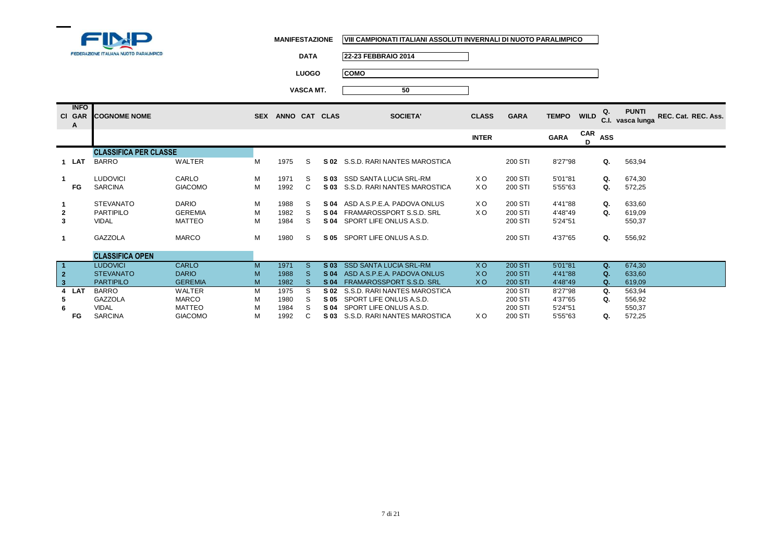

**DATA 22-23 FEBBRAIO 2014**

**LUOGO COMO**

|              | <b>INFO</b><br>CI GAR<br>A | <b>COGNOME NOME</b>          |                | <b>SEX</b> | ANNO CAT CLAS |              |                 | <b>SOCIETA'</b>               | <b>CLASS</b> | <b>GARA</b>    | <b>TEMPO</b> | Q.<br><b>WILD</b>      | <b>PUNTI</b><br>REC. Cat. REC. Ass.<br>C.I. vasca lunga |
|--------------|----------------------------|------------------------------|----------------|------------|---------------|--------------|-----------------|-------------------------------|--------------|----------------|--------------|------------------------|---------------------------------------------------------|
|              |                            |                              |                |            |               |              |                 |                               | <b>INTER</b> |                | <b>GARA</b>  | CAR<br><b>ASS</b><br>D |                                                         |
|              |                            | <b>CLASSIFICA PER CLASSE</b> |                |            |               |              |                 |                               |              |                |              |                        |                                                         |
|              | 1 LAT                      | <b>BARRO</b>                 | <b>WALTER</b>  | М          | 1975          | S            | S 02            | S.S.D. RARI NANTES MAROSTICA  |              | 200 STI        | 8'27"98      | Q.                     | 563,94                                                  |
|              |                            | <b>LUDOVICI</b>              | CARLO          | M          | 1971          | S            | S 03            | SSD SANTA LUCIA SRL-RM        | XO.          | 200 STI        | 5'01"81      | Q.                     | 674,30                                                  |
|              | FG                         | <b>SARCINA</b>               | <b>GIACOMO</b> | M          | 1992          | C            | S 03            | S.S.D. RARI NANTES MAROSTICA  | XO.          | 200 STI        | 5'55"63      | Q.                     | 572,25                                                  |
|              |                            | <b>STEVANATO</b>             | <b>DARIO</b>   | M          | 1988          | S            | S 04            | ASD A.S.P.E.A. PADOVA ONLUS   | XO.          | 200 STI        | 4'41"88      | Q.                     | 633,60                                                  |
| $\mathbf{2}$ |                            | <b>PARTIPILO</b>             | <b>GEREMIA</b> | M          | 1982          | S            | S 04            | FRAMAROSSPORT S.S.D. SRL      | XO.          | 200 STI        | 4'48"49      | Q.                     | 619,09                                                  |
| 3            |                            | <b>VIDAL</b>                 | <b>MATTEO</b>  | M          | 1984          | S            | S 04            | SPORT LIFE ONLUS A.S.D.       |              | 200 STI        | 5'24"51      |                        | 550,37                                                  |
|              |                            | GAZZOLA                      | <b>MARCO</b>   | М          | 1980          | S            | S 05            | SPORT LIFE ONLUS A.S.D.       |              | 200 STI        | 4'37"65      | Q.                     | 556,92                                                  |
|              |                            | <b>CLASSIFICA OPEN</b>       |                |            |               |              |                 |                               |              |                |              |                        |                                                         |
|              |                            | <b>LUDOVICI</b>              | <b>CARLO</b>   | M          | 1971          | S.           | S <sub>03</sub> | <b>SSD SANTA LUCIA SRL-RM</b> | <b>XO</b>    | <b>200 STI</b> | 5'01"81      | Q.                     | 674,30                                                  |
| $\mathbf 2$  |                            | <b>STEVANATO</b>             | <b>DARIO</b>   | M          | 1988          | <sub>S</sub> | S 04            | ASD A.S.P.E.A. PADOVA ONLUS   | XO.          | <b>200 STI</b> | 4'41"88      | Q.                     | 633,60                                                  |
| $\mathbf{3}$ |                            | <b>PARTIPILO</b>             | <b>GEREMIA</b> | M          | 1982          | <sub>S</sub> | <b>S04</b>      | FRAMAROSSPORT S.S.D. SRL      | <b>XO</b>    | <b>200 STI</b> | 4'48"49      | Q.                     | 619,09                                                  |
| 4            | LAT                        | <b>BARRO</b>                 | WALTER         | M          | 1975          | S            | S 02            | S.S.D. RARI NANTES MAROSTICA  |              | 200 STI        | 8'27"98      | Q.                     | 563,94                                                  |
| 5            |                            | GAZZOLA                      | <b>MARCO</b>   | M          | 1980          | S            | S 05            | SPORT LIFE ONLUS A.S.D.       |              | 200 STI        | 4'37"65      | Q.                     | 556,92                                                  |
| 6            |                            | <b>VIDAL</b>                 | <b>MATTEO</b>  | M          | 1984          | S            | S 04            | SPORT LIFE ONLUS A.S.D.       |              | 200 STI        | 5'24"51      |                        | 550,37                                                  |
|              | FG                         | <b>SARCINA</b>               | <b>GIACOMO</b> | M          | 1992          | C            | S 03            | S.S.D. RARI NANTES MAROSTICA  | XO.          | 200 STI        | 5'55"63      | Q.                     | 572,25                                                  |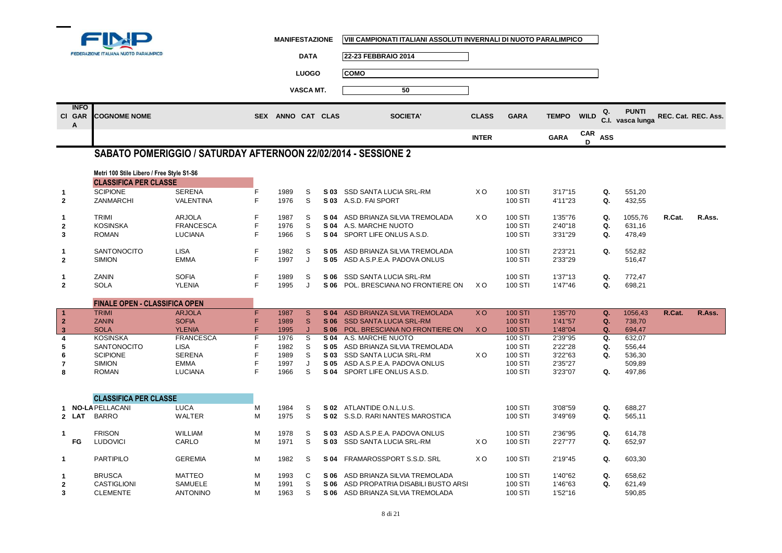

**Cl**

**1**

**2**

**1**

**2**

**3**

**1**

**2**

**1**

**2**

**8**

**1**

**1**

**1**

**1**

**2**

**3**

**MANIFESTAZIONE VIII CAMPIONATI ITALIANI ASSOLUTI INVERNALI DI NUOTO PARALIMPICO**

┓

|                |                 | FEDERAZIONE ITALIANA NUOTO PARALIMPICO    |                                                                |   |                   | <b>DATA</b>      |      | 22-23 FEBBRAIO 2014                                              |                |                    |              |             |             |                  |                     |        |
|----------------|-----------------|-------------------------------------------|----------------------------------------------------------------|---|-------------------|------------------|------|------------------------------------------------------------------|----------------|--------------------|--------------|-------------|-------------|------------------|---------------------|--------|
|                |                 |                                           |                                                                |   |                   |                  |      |                                                                  |                |                    |              |             |             |                  |                     |        |
|                |                 |                                           |                                                                |   |                   | <b>LUOGO</b>     |      | <b>COMO</b>                                                      |                |                    |              |             |             |                  |                     |        |
|                |                 |                                           |                                                                |   |                   | <b>VASCA MT.</b> |      | 50                                                               |                |                    |              |             |             |                  |                     |        |
|                |                 |                                           |                                                                |   |                   |                  |      |                                                                  |                |                    |              |             |             |                  |                     |        |
|                | <b>INFO</b>     |                                           |                                                                |   |                   |                  |      |                                                                  |                |                    |              |             | Q.          | <b>PUNTI</b>     |                     |        |
| СL             | <b>GAR</b><br>Α | <b>COGNOME NOME</b>                       |                                                                |   | SEX ANNO CAT CLAS |                  |      | <b>SOCIETA'</b>                                                  | <b>CLASS</b>   | <b>GARA</b>        | <b>TEMPO</b> | <b>WILD</b> |             | C.I. vasca lunga | REC. Cat. REC. Ass. |        |
|                |                 |                                           |                                                                |   |                   |                  |      |                                                                  |                |                    |              | <b>CAR</b>  |             |                  |                     |        |
|                |                 |                                           |                                                                |   |                   |                  |      |                                                                  | <b>INTER</b>   |                    | <b>GARA</b>  | D           | <b>ASS</b>  |                  |                     |        |
|                |                 |                                           | SABATO POMERIGGIO / SATURDAY AFTERNOON 22/02/2014 - SESSIONE 2 |   |                   |                  |      |                                                                  |                |                    |              |             |             |                  |                     |        |
|                |                 |                                           |                                                                |   |                   |                  |      |                                                                  |                |                    |              |             |             |                  |                     |        |
|                |                 | Metri 100 Stile Libero / Free Style S1-S6 |                                                                |   |                   |                  |      |                                                                  |                |                    |              |             |             |                  |                     |        |
|                |                 | <b>CLASSIFICA PER CLASSE</b>              |                                                                |   |                   |                  |      |                                                                  |                |                    |              |             |             |                  |                     |        |
|                |                 | <b>SCIPIONE</b>                           | <b>SERENA</b>                                                  | F | 1989              | S                |      | S 03 SSD SANTA LUCIA SRL-RM                                      | X <sub>O</sub> | 100 STI            | 3'17''15     |             | Q.          | 551,20           |                     |        |
|                |                 | ZANMARCHI                                 | <b>VALENTINA</b>                                               | F | 1976              | S                | S 03 | A.S.D. FAI SPORT                                                 |                | 100 STI            | 4'11"23      |             | Q.          | 432,55           |                     |        |
|                |                 | <b>TRIMI</b>                              | <b>ARJOLA</b>                                                  | F | 1987              | S                | S 04 | ASD BRIANZA SILVIA TREMOLADA                                     | X O            | 100 STI            | 1'35"76      |             | Q.          | 1055.76          | R.Cat.              | R.Ass. |
| $\overline{a}$ |                 | <b>KOSINSKA</b>                           | <b>FRANCESCA</b>                                               | F | 1976              | S                | S 04 | A.S. MARCHE NUOTO                                                |                | 100 STI            | 2'40"18      |             | Q.          | 631,16           |                     |        |
| 3              |                 | <b>ROMAN</b>                              | <b>LUCIANA</b>                                                 | F | 1966              | S                |      | S 04 SPORT LIFE ONLUS A.S.D.                                     |                | 100 STI            | 3'31"29      |             | Q.          | 478,49           |                     |        |
|                |                 | SANTONOCITO                               | <b>LISA</b>                                                    | F |                   | S                |      |                                                                  |                |                    | 2'23"21      |             | Q.          |                  |                     |        |
| 2              |                 | <b>SIMION</b>                             | <b>EMMA</b>                                                    | F | 1982<br>1997      | J                | S 05 | ASD BRIANZA SILVIA TREMOLADA<br>S 05 ASD A.S.P.E.A. PADOVA ONLUS |                | 100 STI<br>100 STI | 2'33"29      |             |             | 552,82<br>516,47 |                     |        |
|                |                 |                                           |                                                                |   |                   |                  |      |                                                                  |                |                    |              |             |             |                  |                     |        |
|                |                 | ZANIN                                     | <b>SOFIA</b>                                                   | F | 1989              | S                | S 06 | SSD SANTA LUCIA SRL-RM                                           |                | 100 STI            | 1'37"13      |             | Q.          | 772,47           |                     |        |
| 2              |                 | <b>SOLA</b>                               | <b>YLENIA</b>                                                  | F | 1995              | J                | S 06 | POL. BRESCIANA NO FRONTIERE ON                                   | X O            | 100 STI            | 1'47"46      |             | Q.          | 698,21           |                     |        |
|                |                 | <b>FINALE OPEN - CLASSIFICA OPEN</b>      |                                                                |   |                   |                  |      |                                                                  |                |                    |              |             |             |                  |                     |        |
| 1              |                 | <b>TRIMI</b>                              | <b>ARJOLA</b>                                                  | F | 1987              | S                | S 04 | ASD BRIANZA SILVIA TREMOLADA                                     | <b>XO</b>      | <b>100 STI</b>     | 1'35"70      |             | Q.          | 1056,43          | R.Cat.              | R.Ass. |
| $\overline{2}$ |                 | <b>ZANIN</b>                              | <b>SOFIA</b>                                                   | F | 1989              | $\mathbf{s}$     | S 06 | <b>SSD SANTA LUCIA SRL-RM</b>                                    |                | <b>100 STI</b>     | 1'41"57      |             | $Q_{\star}$ | 738,70           |                     |        |
| 3              |                 | <b>SOLA</b>                               | <b>YLENIA</b>                                                  | F | 1995              | IJ               | S 06 | POL. BRESCIANA NO FRONTIERE ON                                   | <b>XO</b>      | <b>100 STI</b>     | 1'48"04      |             | $Q_{\star}$ | 694,47           |                     |        |
|                |                 | <b>KOSINSKA</b>                           | <b>FRANCESCA</b>                                               |   | 1976              | s                | S 04 | A.S. MARCHE NUOTO                                                |                | 100 STI            | 2'39"95      |             | Q.          | 632,07           |                     |        |
|                |                 | <b>SANTONOCITO</b>                        | <b>LISA</b>                                                    |   | 1982              | S                | S 05 | ASD BRIANZA SILVIA TREMOLADA                                     |                | 100 STI            | 2'22"28      |             | Q.          | 556.44           |                     |        |
|                |                 | <b>SCIPIONE</b>                           | <b>SERENA</b>                                                  |   | 1989              | S                | S 03 | SSD SANTA LUCIA SRL-RM                                           | X <sub>O</sub> | 100 STI            | 3'22"63      |             | Q.          | 536,30           |                     |        |
|                |                 | <b>SIMION</b>                             | <b>EMMA</b>                                                    |   | 1997              | J                | S 05 | ASD A.S.P.E.A. PADOVA ONLUS                                      |                | 100 STI            | 2'35"27      |             |             | 509,89           |                     |        |
|                |                 | <b>ROMAN</b>                              | <b>LUCIANA</b>                                                 | E | 1966              | S                |      | S 04 SPORT LIFE ONLUS A.S.D.                                     |                | 100 STI            | 3'23"07      |             | Q.          | 497,86           |                     |        |
|                |                 |                                           |                                                                |   |                   |                  |      |                                                                  |                |                    |              |             |             |                  |                     |        |
|                |                 | <b>CLASSIFICA PER CLASSE</b>              |                                                                |   |                   |                  |      |                                                                  |                |                    |              |             |             |                  |                     |        |
|                |                 | <b>NO-LA PELLACANI</b>                    | <b>LUCA</b>                                                    | М | 1984              | S                |      | S 02 ATLANTIDE O.N.L.U.S.                                        |                | 100 STI            | 3'08"59      |             | Q.          | 688,27           |                     |        |
| $\mathbf{z}$   | LAT             | <b>BARRO</b>                              | <b>WALTER</b>                                                  | M | 1975              | S                |      | S 02 S.S.D. RARI NANTES MAROSTICA                                |                | 100 STI            | 3'49"69      |             | Q.          | 565,11           |                     |        |
|                |                 |                                           |                                                                |   |                   |                  |      |                                                                  |                |                    |              |             |             |                  |                     |        |
|                |                 | <b>FRISON</b>                             | <b>WILLIAM</b><br>CARLO                                        | M | 1978              | S<br>S           | S 03 | ASD A.S.P.E.A. PADOVA ONLUS                                      | X <sub>O</sub> | 100 STI            | 2'36"95      |             | Q.          | 614,78           |                     |        |
|                | FG              | <b>LUDOVICI</b>                           |                                                                | M | 1971              |                  |      | S 03 SSD SANTA LUCIA SRL-RM                                      |                | 100 STI            | 2'27"77      |             | Q.          | 652,97           |                     |        |
|                |                 | <b>PARTIPILO</b>                          | <b>GEREMIA</b>                                                 | M | 1982              | S                | S 04 | FRAMAROSSPORT S.S.D. SRL                                         | X <sub>O</sub> | 100 STI            | 2'19"45      |             | Q.          | 603,30           |                     |        |
|                |                 | <b>BRUSCA</b>                             | <b>MATTEO</b>                                                  | M | 1993              | C                | S 06 | ASD BRIANZA SILVIA TREMOLADA                                     |                | 100 STI            | 1'40"62      |             | Q.          | 658,62           |                     |        |
|                |                 | <b>CASTIGLIONI</b>                        | <b>SAMUELE</b>                                                 | M | 1991              | S                | S 06 | ASD PROPATRIA DISABILI BUSTO ARSI.                               |                | 100 STI            | 1'46"63      |             | Q.          | 621,49           |                     |        |
|                |                 | <b>CLEMENTE</b>                           | <b>ANTONINO</b>                                                | M | 1963              | S                |      | S 06 ASD BRIANZA SILVIA TREMOLADA                                |                | 100 STI            | 1'52"16      |             |             | 590,85           |                     |        |
|                |                 |                                           |                                                                |   |                   |                  |      |                                                                  |                |                    |              |             |             |                  |                     |        |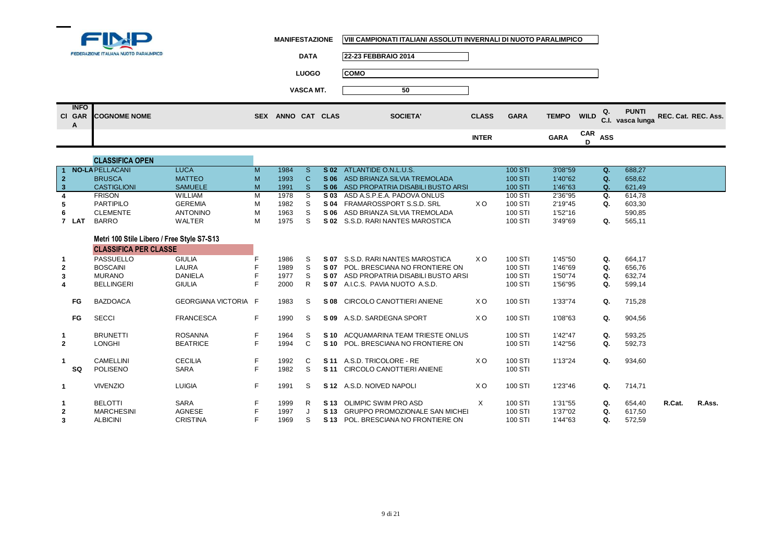

**1**

 $\blacksquare$ 

**2**

**1**

**1**

**1**

**2**

**3**

**SQ**

1 BRUNETTI ROSANNA F 1964 S

2 LONGHI BEATRICE F 1994 C

1 CAMELLINI CECILIA F 1992 C

VIVENZIO LUIGIA <sup>F</sup> <sup>1991</sup> <sup>S</sup>

BELOTTI SARA <sup>F</sup> <sup>1999</sup> <sup>R</sup>

3 ALBICINI CRISTINA F 1969 S

POLISENO SARA F 1982 S **S11** CIRCOLO CANOTTIERI ANIENE

**MANIFESTAZIONE VIII CAMPIONATI ITALIANI ASSOLUTI INVERNALI DI NUOTO PARALIMPICO**

**S 10** ACQUAMARINA TEAM TRIESTE ONLUS 100 STI 1'42"47 **Q**. 593,25<br> **C S10** POL. BRESCIANA NO FRONTIERE ON 100 STI 1'42"56 **Q.** 592,73

C **S11** A.S.D. TRICOLORE - RE X O 100 STI 1'13"24 **Q**. 934,60<br>S **S11** CIRCOLO CANOTTIERI ANIENE 100 STI

**S 12** A.S.D. NOIVED NAPOLI X O 100 STI 1'23"46 **Q.** 714,71

**S 13** OLIMPIC SWIM PRO ASD X 100 STI 1'31"55 **Q.** 654,40 **R.Cat. R.Ass.**

|                            | FEDERAZIONE ITALIANA NUOTO PARALIMPICO | <b>DATA</b>                 | 22-23 FEBBRAIO 2014 |              |             |             |                |                                     |                     |
|----------------------------|----------------------------------------|-----------------------------|---------------------|--------------|-------------|-------------|----------------|-------------------------------------|---------------------|
|                            |                                        | <b>LUOGO</b>                | <b>COMO</b>         |              |             |             |                |                                     |                     |
|                            |                                        | <b>VASCA MT.</b>            | 50                  |              |             |             |                |                                     |                     |
| <b>INFO</b><br>CI GAR<br>A | <b>COGNOME NOME</b>                    | ANNO CAT CLAS<br><b>SEX</b> | <b>SOCIETA'</b>     | <b>CLASS</b> | <b>GARA</b> |             |                | <b>PUNTI</b><br>TEMPO WILD Q. PUNTI | REC. Cat. REC. Ass. |
|                            |                                        |                             |                     | <b>INTER</b> |             | <b>GARA</b> | $CAR$ ASS<br>n |                                     |                     |

|                |           | <b>CLASSIFICA OPEN</b>                     |                             |    |      |    |                 |                                    |                |                |         |    |        |
|----------------|-----------|--------------------------------------------|-----------------------------|----|------|----|-----------------|------------------------------------|----------------|----------------|---------|----|--------|
|                |           | <b>NO-LA PELLACANI</b>                     | <b>LUCA</b>                 | M  | 1984 | S. | S <sub>02</sub> | ATLANTIDE O.N.L.U.S.               |                | <b>100 STI</b> | 3'08"59 | Q. | 688,27 |
| $\mathbf{2}$   |           | <b>BRUSCA</b>                              | <b>MATTEO</b>               | M  | 1993 | C. | S 06            | ASD BRIANZA SILVIA TREMOLADA       |                | 100 STI        | 1'40"62 | Q. | 658,62 |
| 3              |           | <b>CASTIGLIONI</b>                         | <b>SAMUELE</b>              | M  | 1991 | S. | S 06            | ASD PROPATRIA DISABILI BUSTO ARSI. |                | <b>100 STI</b> | 1'46"63 | Q. | 621,49 |
|                |           | <b>FRISON</b>                              | <b>WILLIAM</b>              | м  | 1978 | S. | S 03            | ASD A.S.P.E.A. PADOVA ONLUS        |                | 100 STI        | 2'36"95 | Q. | 614,78 |
| 5              |           | <b>PARTIPILO</b>                           | <b>GEREMIA</b>              | м  | 1982 | S. | S 04            | FRAMAROSSPORT S.S.D. SRL           | X O            | 100 STI        | 2'19"45 | Q. | 603,30 |
| 6              |           | <b>CLEMENTE</b>                            | <b>ANTONINO</b>             | м  | 1963 | S. | S 06            | ASD BRIANZA SILVIA TREMOLADA       |                | 100 STI        | 1'52"16 |    | 590,85 |
|                | 7 LAT     | <b>BARRO</b>                               | WALTER                      | M  | 1975 | S  | S 02            | S.S.D. RARI NANTES MAROSTICA       |                | 100 STI        | 3'49"69 | Q. | 565,11 |
|                |           |                                            |                             |    |      |    |                 |                                    |                |                |         |    |        |
|                |           | Metri 100 Stile Libero / Free Style S7-S13 |                             |    |      |    |                 |                                    |                |                |         |    |        |
|                |           | <b>CLASSIFICA PER CLASSE</b>               |                             |    |      |    |                 |                                    |                |                |         |    |        |
|                |           | PASSUELLO                                  | <b>GIULIA</b>               |    | 1986 | S. | S 07            | S.S.D. RARI NANTES MAROSTICA       | X O            | 100 STI        | 1'45"50 | Q. | 664,17 |
| $\overline{2}$ |           | <b>BOSCAINI</b>                            | LAURA                       |    | 1989 | S. | S 07            | POL. BRESCIANA NO FRONTIERE ON     |                | 100 STI        | 1'46"69 | Q. | 656,76 |
| 3              |           | <b>MURANO</b>                              | <b>DANIELA</b>              |    | 1977 | S. | S 07            | ASD PROPATRIA DISABILI BUSTO ARSI. |                | 100 STI        | 1'50"74 | Q. | 632,74 |
| 4              |           | <b>BELLINGERI</b>                          | <b>GIULIA</b>               |    | 2000 |    | S 07            | A.I.C.S. PAVIA NUOTO A.S.D.        |                | 100 STI        | 1'56"95 | Q. | 599,14 |
|                |           |                                            |                             |    |      |    |                 |                                    |                |                |         |    |        |
|                | <b>FG</b> | <b>BAZDOACA</b>                            | <b>GEORGIANA VICTORIA F</b> |    | 1983 | S. | S 08            | CIRCOLO CANOTTIERI ANIENE          | X O            | 100 STI        | 1'33"74 | Q. | 715,28 |
|                |           |                                            |                             |    |      |    |                 |                                    |                |                |         |    |        |
|                | FG        | <b>SECCI</b>                               | <b>FRANCESCA</b>            | F. | 1990 | S. | S 09            | A.S.D. SARDEGNA SPORT              | X <sub>O</sub> | 100 STI        | 1'08"63 | Q. | 904,56 |

**S 10 POL. BRESCIANA NO FRONTIERE ON** 

**S 13 POL. BRESCIANA NO FRONTIERE ON** 

MARCHESINI AGNESE <sup>F</sup> <sup>1997</sup> <sup>J</sup> **S 13** GRUPPO PROMOZIONALE SAN MICHELE VERONA 100 STI 1'37"02 **Q.** 617,50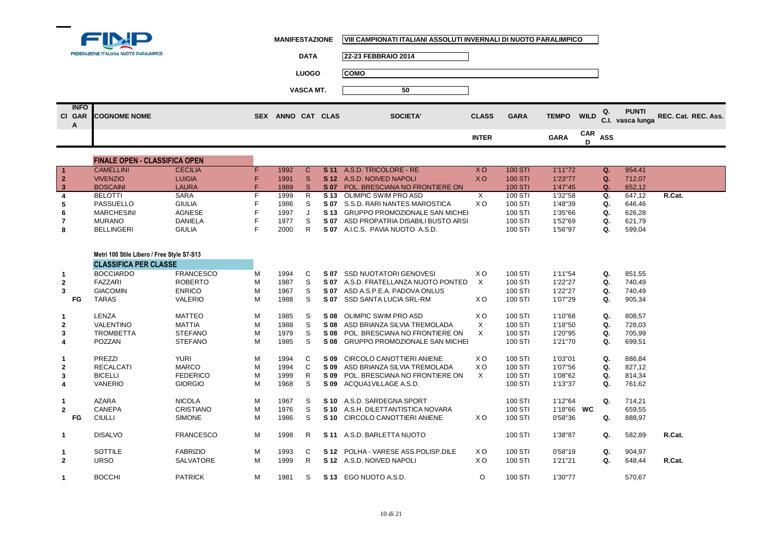

|                            | FEDERAZIONE ITALIANA NUOTO PARALIMPICO | <b>DATA</b>                 | 22-23 FEBBRAIO 2014 |              |             |              |                |                                        |                     |
|----------------------------|----------------------------------------|-----------------------------|---------------------|--------------|-------------|--------------|----------------|----------------------------------------|---------------------|
|                            |                                        | <b>LUOGO</b>                | <b>COMO</b>         |              |             |              |                |                                        |                     |
|                            |                                        | VASCA MT.                   | 50                  |              |             |              |                |                                        |                     |
| <b>INFO</b><br>CI GAR<br>A | <b>COGNOME NOME</b>                    | ANNO CAT CLAS<br><b>SEX</b> | <b>SOCIETA'</b>     | <b>CLASS</b> | <b>GARA</b> | <b>TEMPO</b> | <b>WILD</b>    | <b>PUNTI</b><br>Q.<br>C.I. vasca lunga | REC. Cat. REC. Ass. |
|                            |                                        |                             |                     | <b>INTER</b> |             | <b>GARA</b>  | $CAR$ ASS<br>D |                                        |                     |

|    | <b>FINALE OPEN - CLASSIFICA OPEN</b> |                |      |      |                                     |     |                |          |            |        |        |
|----|--------------------------------------|----------------|------|------|-------------------------------------|-----|----------------|----------|------------|--------|--------|
|    | <b>CAMELLINI</b>                     | <b>CECILIA</b> | 1992 | S 11 | A.S.D. TRICOLORE - RE               | xо  | <b>100 STI</b> | 1'11"72  |            | 954,41 |        |
|    | <b>VIVENZIO</b>                      | <b>LUIGIA</b>  | 1991 |      | <b>S12</b> A.S.D. NOIVED NAPOLI     | xо  | <b>100 STI</b> | 1'23"77  | $\Omega$ . | 712.07 |        |
|    | <b>BOSCAINI</b>                      | <b>LAURA</b>   | 1989 | S 07 | POL. BRESCIANA NO FRONTIERE ON      |     | <b>100 STI</b> | 1'47''45 |            | 652,12 |        |
|    | <b>BELOTTI</b>                       | SARA           | 1999 |      | <b>S13 OLIMPIC SWIM PRO ASD</b>     |     | 100 STI        | 1'32"58  | Q.         | 647.12 | R.Cat. |
| -5 | PASSUELLO                            | <b>GIULIA</b>  | 1986 | S 07 | S.S.D. RARI NANTES MAROSTICA        | X O | 100 STI        | 1'48"39  |            | 646.46 |        |
| 6  | MARCHESINI                           | <b>AGNESE</b>  | 1997 |      | S 13 GRUPPO PROMOZIONALE SAN MICHEL |     | 100 STI        | 1'35"66  | Q.         | 626.28 |        |
|    | <b>MURANO</b>                        | <b>DANIELA</b> | 1977 | S 07 | ASD PROPATRIA DISABILI BUSTO ARSI   |     | 100 STI        | 1'52"69  | Q.         | 621.79 |        |
| 8  | BELLINGERI                           | <b>GIULIA</b>  | 2000 | S 07 | A.I.C.S. PAVIA NUOTO A.S.D.         |     | 100 STI        | 1'56"97  |            | 599,04 |        |

|              | Metri 100 Stile Libero / Free Style S7-S13 |                  |   |      |    |      |                                     |                |         |            |    |        |        |
|--------------|--------------------------------------------|------------------|---|------|----|------|-------------------------------------|----------------|---------|------------|----|--------|--------|
|              | <b>CLASSIFICA PER CLASSE</b>               |                  |   |      |    |      |                                     |                |         |            |    |        |        |
|              | <b>BOCCIARDO</b>                           | <b>FRANCESCO</b> | м | 1994 | C  | S 07 | <b>SSD NUOTATORI GENOVESI</b>       | X <sub>O</sub> | 100 STI | 1'11"54    | Q. | 851,55 |        |
| $\mathbf{2}$ | FAZZARI                                    | <b>ROBERTO</b>   | M | 1987 | S  | S 07 | A.S.D. FRATELLANZA NUOTO PONTED     | X              | 100 STI | 1'22"27    | Q. | 740,49 |        |
| 3            | <b>GIACOMIN</b>                            | <b>ENRICO</b>    | M | 1967 | S  | S 07 | ASD A.S.P.E.A. PADOVA ONLUS         |                | 100 STI | 1'22"27    | Q. | 740,49 |        |
| FG           | <b>TARAS</b>                               | <b>VALERIO</b>   | M | 1988 | S  | S 07 | <b>SSD SANTA LUCIA SRL-RM</b>       | XO.            | 100 STI | 1'07"29    | Q. | 905,34 |        |
| $\mathbf{1}$ | LENZA                                      | <b>MATTEO</b>    | М | 1985 | S  | S 08 | OLIMPIC SWIM PRO ASD                | X <sub>O</sub> | 100 STI | 1'10"68    | Q. | 808,57 |        |
| $\mathbf{2}$ | <b>VALENTINO</b>                           | <b>MATTIA</b>    | M | 1988 | S  | S 08 | ASD BRIANZA SILVIA TREMOLADA        | $\times$       | 100 STI | 1'18"50    | Q. | 728,03 |        |
| 3            | <b>TROMBETTA</b>                           | <b>STEFANO</b>   | М | 1979 | S  | S 08 | POL. BRESCIANA NO FRONTIERE ON      | X              | 100 STI | 1'20"95    | Q. | 705,99 |        |
| 4            | POZZAN                                     | <b>STEFANO</b>   | M | 1985 | S  |      | S 08 GRUPPO PROMOZIONALE SAN MICHEL |                | 100 STI | 1'21"70    | Q. | 699,51 |        |
| $\mathbf{1}$ | PREZZI                                     | <b>YURI</b>      | М | 1994 | C  | S 09 | CIRCOLO CANOTTIERI ANIENE           | XO.            | 100 STI | 1'03"01    | Q. | 886,84 |        |
| $\mathbf{2}$ | <b>RECALCATI</b>                           | <b>MARCO</b>     | М | 1994 | C  | S 09 | ASD BRIANZA SILVIA TREMOLADA        | X <sub>O</sub> | 100 STI | 1'07"56    | Q. | 827,12 |        |
| 3            | <b>BICELLI</b>                             | <b>FEDERICO</b>  | M | 1999 | R  | S 09 | POL. BRESCIANA NO FRONTIERE ON      | X              | 100 STI | 1'08"62    | Q. | 814,34 |        |
| 4            | <b>VANERIO</b>                             | <b>GIORGIO</b>   | М | 1968 | S  | S 09 | ACQUA1VILLAGE A.S.D.                |                | 100 STI | 1'13"37    | Q. | 761,62 |        |
|              | <b>AZARA</b>                               | <b>NICOLA</b>    | М | 1967 | S  |      | S 10 A.S.D. SARDEGNA SPORT          |                | 100 STI | 1'12"64    | Q. | 714,21 |        |
| $\mathbf{2}$ | <b>CANEPA</b>                              | CRISTIANO        | М | 1976 | S. | S 10 | A.S.H. DILETTANTISTICA NOVARA       |                | 100 STI | 1'18"66 WC |    | 659,55 |        |
| FG           | <b>CIULLI</b>                              | <b>SIMONE</b>    | M | 1986 | S  | S 10 | CIRCOLO CANOTTIERI ANIENE           | X O            | 100 STI | 0'58"36    | Q. | 888,97 |        |
| $\mathbf{1}$ | <b>DISALVO</b>                             | <b>FRANCESCO</b> | M | 1998 | R  |      | <b>S11 A.S.D. BARLETTA NUOTO</b>    |                | 100 STI | 1'38"87    | Q. | 582,89 | R.Cat. |
| $\mathbf{1}$ | <b>SOTTILE</b>                             | <b>FABRIZIO</b>  | М | 1993 | C  | S 12 | POLHA - VARESE ASS POLISP DILE      | X O            | 100 STI | 0'58"19    | Q. | 904,97 |        |
| $\mathbf{2}$ | <b>URSO</b>                                | <b>SALVATORE</b> | М | 1999 | R  |      | S 12 A.S.D. NOIVED NAPOLI           | X O            | 100 STI | 1'21"21    | Q. | 648,44 | R.Cat. |
| 1            | <b>BOCCHI</b>                              | <b>PATRICK</b>   | М | 1981 | S. |      | S 13 EGO NUOTO A.S.D.               | O              | 100 STI | 1'30"77    |    | 570,67 |        |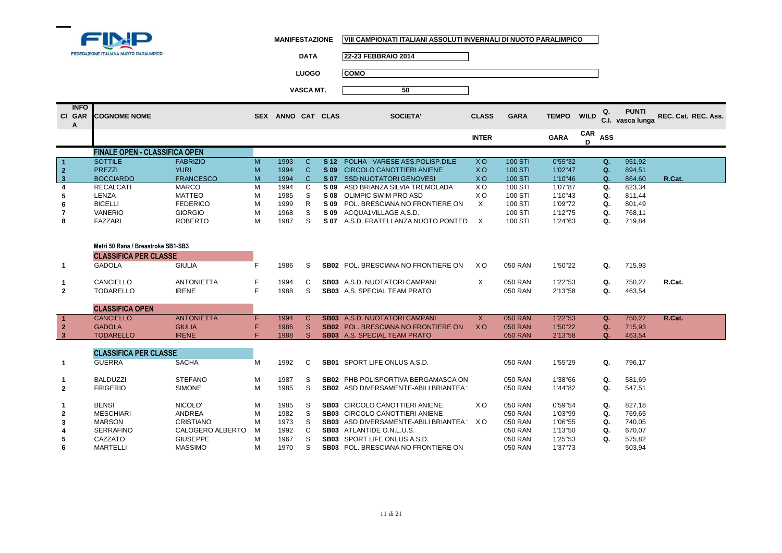

| DATA   | <b>22-23 FEBBRAIO 2014</b> |
|--------|----------------------------|
| LUOGO. | COMO                       |

| <b>INFO</b><br>CI GAR<br>A | <b>COGNOME NOME</b>                                                |                   | <b>SEX</b> | ANNO CAT CLAS |              |                 | <b>SOCIETA'</b>                               | <b>CLASS</b>   | <b>GARA</b>    | <b>TEMPO</b> | <b>WILD</b> | Q.<br>C.I. | <b>PUNTI</b><br>vasca lunga | REC. Cat. REC. Ass. |
|----------------------------|--------------------------------------------------------------------|-------------------|------------|---------------|--------------|-----------------|-----------------------------------------------|----------------|----------------|--------------|-------------|------------|-----------------------------|---------------------|
|                            |                                                                    |                   |            |               |              |                 |                                               | <b>INTER</b>   |                | <b>GARA</b>  | CAR<br>D    | <b>ASS</b> |                             |                     |
|                            | <b>FINALE OPEN - CLASSIFICA OPEN</b>                               |                   |            |               |              |                 |                                               |                |                |              |             |            |                             |                     |
| $\overline{\mathbf{1}}$    | <b>SOTTILE</b>                                                     | <b>FABRIZIO</b>   | M          | 1993          | $\mathsf{C}$ | S <sub>12</sub> | POLHA - VARESE ASS.POLISP.DILE                | <b>XO</b>      | 100 STI        | 0'55"32      |             | Q.         | 951,92                      |                     |
| $\overline{2}$             | <b>PREZZI</b>                                                      | <b>YURI</b>       | M          | 1994          | $\mathsf{C}$ | S 09            | <b>CIRCOLO CANOTTIERI ANIENE</b>              | <b>XO</b>      | 100 STI        | 1'02"47      |             | Q.         | 894,51                      |                     |
| $\overline{\mathbf{3}}$    | <b>BOCCIARDO</b>                                                   | <b>FRANCESCO</b>  | M          | 1994          | $\mathsf{C}$ | S 07            | <b>SSD NUOTATORI GENOVESI</b>                 | <b>XO</b>      | <b>100 STI</b> | 1'10"46      |             | $\Omega$ . | 864.60                      | R.Cat.              |
| $\boldsymbol{A}$           | <b>RECALCATI</b>                                                   | <b>MARCO</b>      | M          | 1994          | C            | S 09            | ASD BRIANZA SILVIA TREMOLADA                  | X <sub>O</sub> | 100 STI        | 1'07"87      |             | Q.         | 823,34                      |                     |
| 5                          | LENZA                                                              | <b>MATTEO</b>     | M          | 1985          | S            | S 08            | <b>OLIMPIC SWIM PRO ASD</b>                   | X <sub>O</sub> | 100 STI        | 1'10"43      |             | Q.         | 811.44                      |                     |
| 6                          | <b>BICELLI</b>                                                     | <b>FEDERICO</b>   | M          | 1999          | $\mathsf{R}$ | S 09            | POL. BRESCIANA NO FRONTIERE ON                | $\times$       | 100 STI        | 1'09"72      |             | Q.         | 801,49                      |                     |
| $\overline{7}$             | <b>VANERIO</b>                                                     | <b>GIORGIO</b>    | M          | 1968          | S            | S 09            | ACQUA1VILLAGE A.S.D.                          |                | 100 STI        | 1'12"75      |             | Q.         | 768,11                      |                     |
| 8                          | <b>FAZZARI</b>                                                     | <b>ROBERTO</b>    | M          | 1987          | S            |                 | S 07 A.S.D. FRATELLANZA NUOTO PONTED          | $\mathsf{X}$   | 100 STI        | 1'24"63      |             | Q.         | 719,84                      |                     |
|                            | Metri 50 Rana / Breastroke SB1-SB3<br><b>CLASSIFICA PER CLASSE</b> |                   |            |               |              |                 |                                               |                |                |              |             |            |                             |                     |
| $\mathbf{1}$               | <b>GADOLA</b>                                                      | <b>GIULIA</b>     | F          | 1986          | S            |                 | <b>SB02 POL. BRESCIANA NO FRONTIERE ON</b>    | X O            | 050 RAN        | 1'50"22      |             | Q.         | 715,93                      |                     |
| 1                          | CANCIELLO                                                          | <b>ANTONIETTA</b> | F          | 1994          | C            |                 | SB03 A.S.D. NUOTATORI CAMPANI                 | $\times$       | 050 RAN        | 1'22"53      |             | Q.         | 750,27                      | R.Cat.              |
| $\mathbf{2}$               | <b>TODARELLO</b>                                                   | <b>IRENE</b>      | F          | 1988          | S            |                 | <b>SB03</b> A.S. SPECIAL TEAM PRATO           |                | 050 RAN        | 2'13"58      |             | Q.         | 463,54                      |                     |
|                            |                                                                    |                   |            |               |              |                 |                                               |                |                |              |             |            |                             |                     |
|                            | <b>CLASSIFICA OPEN</b>                                             |                   |            |               |              |                 |                                               |                |                |              |             |            |                             |                     |
| $\mathbf{1}$               | <b>CANCIELLO</b>                                                   | <b>ANTONIETTA</b> | F          | 1994          | $\mathsf{C}$ |                 | <b>SB03</b> A.S.D. NUOTATORI CAMPANI          | $\mathsf{X}$   | <b>050 RAN</b> | 1'22"53      |             | Q.         | 750.27                      | R.Cat.              |
| $\overline{2}$             | <b>GADOLA</b>                                                      | <b>GIULIA</b>     | F          | 1986          | S            |                 | <b>SB02</b> POL. BRESCIANA NO FRONTIERE ON    | <b>XO</b>      | <b>050 RAN</b> | 1'50"22      |             | Q.         | 715,93                      |                     |
| $\mathbf{3}$               | <b>TODARELLO</b>                                                   | <b>IRENE</b>      | É          | 1988          | <sub>S</sub> |                 | <b>SB03</b> A.S. SPECIAL TEAM PRATO           |                | <b>050 RAN</b> | 2'13"58      |             | Q.         | 463,54                      |                     |
|                            | <b>CLASSIFICA PER CLASSE</b>                                       |                   |            |               |              |                 |                                               |                |                |              |             |            |                             |                     |
| $\mathbf{1}$               | <b>GUERRA</b>                                                      | <b>SACHA</b>      | M          | 1992          | C            |                 | <b>SB01</b> SPORT LIFE ONLUS A.S.D.           |                | 050 RAN        | 1'55"29      |             | Q.         | 796.17                      |                     |
| 1                          | <b>BALDUZZI</b>                                                    | <b>STEFANO</b>    | M          | 1987          | S            |                 | SB02 PHB POLISPORTIVA BERGAMASCA ON           |                | 050 RAN        | 1'38"66      |             | Q.         | 581,69                      |                     |
| $\overline{2}$             | <b>FRIGERIO</b>                                                    | <b>SIMONE</b>     | M          | 1985          | S            |                 | <b>SB02</b> ASD DIVERSAMENTE-ABILI BRIANTEA   |                | 050 RAN        | 1'44"82      |             | Q.         | 547,51                      |                     |
|                            |                                                                    |                   |            |               |              |                 |                                               |                |                |              |             |            |                             |                     |
|                            | <b>BENSI</b>                                                       | NICOLO'           | M          | 1985          | S            |                 | SB03 CIRCOLO CANOTTIERI ANIENE                | X <sub>O</sub> | 050 RAN        | 0'59"54      |             | Q.         | 827,18                      |                     |
| $\overline{2}$             | <b>MESCHIARI</b>                                                   | <b>ANDREA</b>     | M          | 1982          | S            |                 | SB03 CIRCOLO CANOTTIERI ANIENE                |                | 050 RAN        | 1'03"99      |             | Q.         | 769,65                      |                     |
| 3                          | <b>MARSON</b>                                                      | <b>CRISTIANO</b>  | M          | 1973          | S            |                 | <b>SB03</b> ASD DIVERSAMENTE-ABILI BRIANTEA " | X O            | 050 RAN        | 1'06"55      |             | Q.         | 740,05                      |                     |
|                            | <b>SERRAFINO</b>                                                   | CALOGERO ALBERTO  | M          | 1992          | C            |                 | SB03 ATLANTIDE O.N.L.U.S.                     |                | 050 RAN        | 1'13"50      |             | Q.         | 670,07                      |                     |
| 5                          | CAZZATO                                                            | <b>GIUSEPPE</b>   | M          | 1967          | S            |                 | <b>SB03</b> SPORT LIFE ONLUS A.S.D.           |                | 050 RAN        | 1'25"53      |             | Q.         | 575,82                      |                     |
| 6                          | <b>MARTELLI</b>                                                    | <b>MASSIMO</b>    | M          | 1970          | S            |                 | SB03 POL. BRESCIANA NO FRONTIERE ON           |                | 050 RAN        | 1'37"73      |             |            | 503,94                      |                     |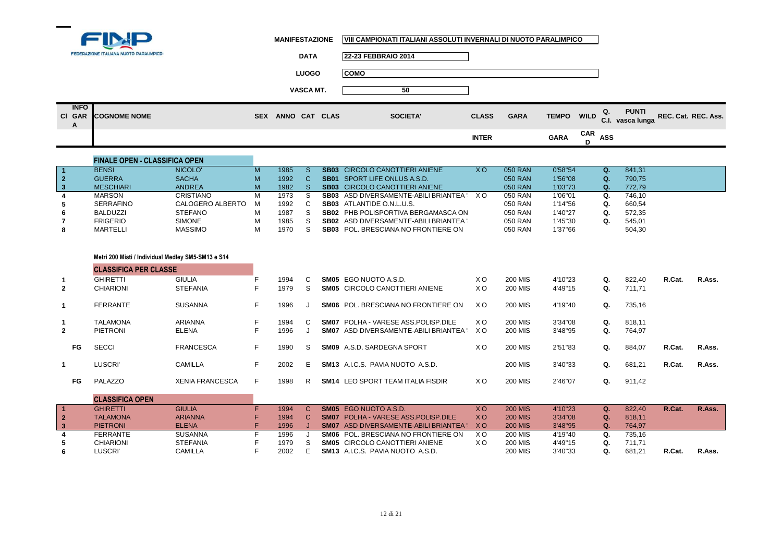

 $\blacksquare$ 

**MANIFESTAZIONE VIII CAMPIONATI ITALIANI ASSOLUTI INVERNALI DI NUOTO PARALIMPICO**

|                  | FEDERAZIONE ITALIANA NUOTO PARALIMPICO | <b>DATA</b>       | 22-23 FEBBRAIO 2014 |              |             |             |                |                                                             |
|------------------|----------------------------------------|-------------------|---------------------|--------------|-------------|-------------|----------------|-------------------------------------------------------------|
|                  |                                        | <b>LUOGO</b>      | <b>COMO</b>         |              |             |             |                |                                                             |
|                  |                                        | <b>VASCA MT.</b>  | 50                  |              |             |             |                |                                                             |
| <b>INFO</b><br>A | CI GAR COGNOME NOME                    | SEX ANNO CAT CLAS | <b>SOCIETA'</b>     | <b>CLASS</b> | <b>GARA</b> |             |                | TEMPO WILD Q. PUNTI<br>C.I. vasca lunga REC. Cat. REC. Ass. |
|                  |                                        |                   |                     | <b>INTER</b> |             | <b>GARA</b> | $CAR$ ASS<br>D |                                                             |

|                            | <b>FINALE OPEN - CLASSIFICA OPEN</b> |                  |   |      |                                             |           |         |         |    |        |
|----------------------------|--------------------------------------|------------------|---|------|---------------------------------------------|-----------|---------|---------|----|--------|
| $\blacksquare$             | <b>BENSI</b>                         | NICOLO'          | м | 1985 | <b>SB03</b> CIRCOLO CANOTTIERI ANIENE       | <b>XO</b> | 050 RAN | 0'58"54 |    | 841,31 |
| $\overline{\phantom{0}}$ 2 | <b>GUERRA</b>                        | <b>SACHA</b>     | M | 1992 | <b>SB01</b> SPORT LIFE ONLUS A.S.D.         |           | 050 RAN | 1'56"08 | Q. | 790.75 |
| $\vert 3$                  | <b>MESCHIARI</b>                     | <b>ANDREA</b>    | M | 1982 | <b>SB03</b> CIRCOLO CANOTTIERI ANIENE       |           | 050 RAN | 1'03"73 | Q. | 772.79 |
|                            | <b>MARSON</b>                        | CRISTIANO        | м | 1973 | SB03 ASD DIVERSAMENTE-ABILI BRIANTEA \ X O  |           | 050 RAN | 1'06"01 |    | 746.10 |
|                            | <b>SERRAFINO</b>                     | CALOGERO ALBERTO | M | 1992 | <b>SB03</b> ATLANTIDE O.N.L.U.S.            |           | 050 RAN | 1'14"56 |    | 660,54 |
| 6                          | <b>BALDUZZI</b>                      | <b>STEFANO</b>   | М | 1987 | <b>SB02 PHB POLISPORTIVA BERGAMASCA ON</b>  |           | 050 RAN | 1'40"27 |    | 572.35 |
|                            | <b>FRIGERIO</b>                      | <b>SIMONE</b>    | M | 1985 | <b>SB02</b> ASD DIVERSAMENTE-ABILI BRIANTEA |           | 050 RAN | 1'45"30 |    | 545,01 |
| 8                          | <b>MARTELLI</b>                      | <b>MASSIMO</b>   | М | 1970 | <b>SB03</b> POL. BRESCIANA NO FRONTIERE ON  |           | 050 RAN | 1'37"66 |    | 504,30 |

## **Metri 200 Misti / Individual Medley SM5-SM13 e S14**

۰

**CLASSIFICA PER CLASSE**

|                | <b>CLASSIFICA PER CLASSE</b> |                        |    |      |    |                                                   |                |                |         |    |        |        |        |
|----------------|------------------------------|------------------------|----|------|----|---------------------------------------------------|----------------|----------------|---------|----|--------|--------|--------|
|                | <b>GHIRETTI</b>              | <b>GIULIA</b>          |    | 1994 | C  | SM05 EGO NUOTO A.S.D.                             | X <sub>O</sub> | 200 MIS        | 4'10"23 | Q. | 822.40 | R.Cat. | R.Ass. |
| $\mathbf{2}$   | <b>CHIARIONI</b>             | <b>STEFANIA</b>        | ۳  | 1979 | S. | <b>SM05 CIRCOLO CANOTTIERI ANIENE</b>             | X <sub>O</sub> | 200 MIS        | 4'49"15 | Q. | 711.71 |        |        |
|                | <b>FERRANTE</b>              | <b>SUSANNA</b>         |    | 1996 |    | POL. BRESCIANA NO FRONTIERE ON<br>SM06            | X O            | 200 MIS        | 4'19"40 | Q. | 735,16 |        |        |
|                | <b>TALAMONA</b>              | ARIANNA                | F  | 1994 | C. | POLHA - VARESE ASS POLISP DILE<br>SM07            | X O            | 200 MIS        | 3'34"08 | Q. | 818.11 |        |        |
| $\overline{2}$ | PIETRONI                     | ELENA                  | F  | 1996 |    | <b>SM07</b> ASD DIVERSAMENTE-ABILI BRIANTEA : X O |                | 200 MIS        | 3'48"95 | Q. | 764,97 |        |        |
| FG             | <b>SECCI</b>                 | <b>FRANCESCA</b>       | F  | 1990 | S. | A.S.D. SARDEGNA SPORT<br>SM09                     | X <sub>O</sub> | <b>200 MIS</b> | 2'51"83 | Q. | 884,07 | R.Cat. | R.Ass. |
|                | LUSCRI'                      | CAMILLA                | F  | 2002 | F. | <b>SM13</b> ALC.S. PAVIA NUOTO A.S.D.             |                | 200 MIS        | 3'40"33 | Q. | 681,21 | R.Cat. | R.Ass. |
| FG             | PALAZZO                      | <b>XENIA FRANCESCA</b> | F. | 1998 | R  | LEO SPORT TEAM ITALIA FISDIR<br><b>SM14</b>       | X <sub>O</sub> | 200 MIS        | 2'46"07 | Q. | 911,42 |        |        |

|                         | <b>CLASSIFICA OPEN</b> |                 |      |                                               |     |                |         |        |        |        |
|-------------------------|------------------------|-----------------|------|-----------------------------------------------|-----|----------------|---------|--------|--------|--------|
|                         | GHIRETTI               | <b>GIULIA</b>   | 1994 | <b>SM05</b> EGO NUOTO A.S.D.                  | X O | <b>200 MIS</b> | 4'10"23 | 822.40 | R.Cat. | R.Ass. |
| $\overline{2}$          | <b>TALAMONA</b>        | <b>ARIANNA</b>  | 1994 | <b>SM07 POLHA - VARESE ASS POLISP DILE</b>    | X O | <b>200 MIS</b> | 3'34"08 | 818.11 |        |        |
| $\overline{\mathbf{3}}$ | <b>PIETRONI</b>        | <b>ELENA</b>    | 1996 | <b>SM07</b> ASD DIVERSAMENTE-ABILI BRIANTEA " | x o | <b>200 MIS</b> | 3'48"95 | 764.97 |        |        |
|                         | FERRANTE               | <b>SUSANNA</b>  | 1996 | <b>SM06</b> POL. BRESCIANA NO FRONTIERE ON    | ΧO  | <b>200 MIS</b> | 4'19"40 | 735.16 |        |        |
|                         | <b>CHIARIONI</b>       | <b>STEFANIA</b> | 1979 | <b>SM05</b> CIRCOLO CANOTTIERI ANIENE         | xο  | <b>200 MIS</b> | 4'49"15 | 711.71 |        |        |
|                         | LUSCRI'                | CAMILLA         | 2002 | <b>SM13</b> A.I.C.S. PAVIA NUOTO A.S.D.       |     | <b>200 MIS</b> | 3'40"33 | 681.21 | R.Cat. | R.Ass. |
|                         |                        |                 |      |                                               |     |                |         |        |        |        |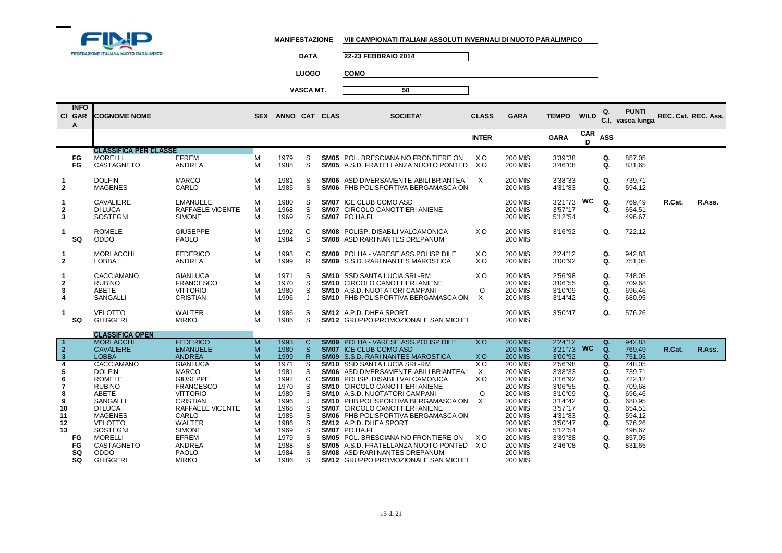

**DATA 22-23 FEBBRAIO 2014**

**LUOGO COMO**

|                                                                              | <b>INFO</b><br>CI GAR<br>A | <b>COGNOME NOME</b>                                                                                                                                                                                             |                                                                                                                                                                                                                                       |                                                                    | SEX ANNO CAT CLAS                                                                                            |                                                                    | <b>SOCIETA'</b>                                                                                                                                                                                                                                                                                                                                                                                                                                                                                                                             | <b>CLASS</b>                                                      | <b>GARA</b>                                                                                                                                                                                                                                              | <b>TEMPO</b>                                                                                                                     | <b>WILD</b>     | Q.                                                             | <b>PUNTI</b><br>C.I. vasca lunga                                                                                     | REC. Cat. REC. Ass. |        |
|------------------------------------------------------------------------------|----------------------------|-----------------------------------------------------------------------------------------------------------------------------------------------------------------------------------------------------------------|---------------------------------------------------------------------------------------------------------------------------------------------------------------------------------------------------------------------------------------|--------------------------------------------------------------------|--------------------------------------------------------------------------------------------------------------|--------------------------------------------------------------------|---------------------------------------------------------------------------------------------------------------------------------------------------------------------------------------------------------------------------------------------------------------------------------------------------------------------------------------------------------------------------------------------------------------------------------------------------------------------------------------------------------------------------------------------|-------------------------------------------------------------------|----------------------------------------------------------------------------------------------------------------------------------------------------------------------------------------------------------------------------------------------------------|----------------------------------------------------------------------------------------------------------------------------------|-----------------|----------------------------------------------------------------|----------------------------------------------------------------------------------------------------------------------|---------------------|--------|
|                                                                              |                            |                                                                                                                                                                                                                 |                                                                                                                                                                                                                                       |                                                                    |                                                                                                              |                                                                    |                                                                                                                                                                                                                                                                                                                                                                                                                                                                                                                                             | <b>INTER</b>                                                      |                                                                                                                                                                                                                                                          | <b>GARA</b>                                                                                                                      | <b>CAR</b><br>D | <b>ASS</b>                                                     |                                                                                                                      |                     |        |
|                                                                              |                            | <b>CLASSIFICA PER CLASSE</b>                                                                                                                                                                                    |                                                                                                                                                                                                                                       |                                                                    |                                                                                                              |                                                                    |                                                                                                                                                                                                                                                                                                                                                                                                                                                                                                                                             |                                                                   |                                                                                                                                                                                                                                                          |                                                                                                                                  |                 |                                                                |                                                                                                                      |                     |        |
|                                                                              | FG<br><b>FG</b>            | <b>MORELLI</b><br>CASTAGNETO                                                                                                                                                                                    | <b>EFREM</b><br>ANDREA                                                                                                                                                                                                                | М<br>M                                                             | 1979<br>1988                                                                                                 | S<br>S                                                             | <b>SM05</b> POL. BRESCIANA NO FRONTIERE ON<br>SM05 A.S.D. FRATELLANZA NUOTO PONTED                                                                                                                                                                                                                                                                                                                                                                                                                                                          | X <sub>O</sub><br>X O                                             | <b>200 MIS</b><br><b>200 MIS</b>                                                                                                                                                                                                                         | 3'39"38<br>3'46"08                                                                                                               |                 | Q.<br>Q.                                                       | 857,05<br>831,65                                                                                                     |                     |        |
| $\overline{2}$                                                               |                            | <b>DOLFIN</b><br><b>MAGENES</b>                                                                                                                                                                                 | <b>MARCO</b><br>CARLO                                                                                                                                                                                                                 | М<br>М                                                             | 1981<br>1985                                                                                                 | S<br>S                                                             | SM06 ASD DIVERSAMENTE-ABILI BRIANTEA "X<br>SM06 PHB POLISPORTIVA BERGAMASCA ON                                                                                                                                                                                                                                                                                                                                                                                                                                                              |                                                                   | <b>200 MIS</b><br><b>200 MIS</b>                                                                                                                                                                                                                         | 3'38"33<br>4'31"83                                                                                                               |                 | Q.<br>Q.                                                       | 739,71<br>594,12                                                                                                     |                     |        |
| 2<br>3                                                                       |                            | CAVALIERE<br>DI LUCA<br><b>SOSTEGNI</b>                                                                                                                                                                         | <b>EMANUELE</b><br>RAFFAELE VICENTE<br><b>SIMONE</b>                                                                                                                                                                                  | М<br>М<br>М                                                        | 1980<br>1968<br>1969                                                                                         | S<br>S<br>S                                                        | <b>SM07 ICE CLUB COMO ASD</b><br>SM07 CIRCOLO CANOTTIERI ANIENE<br>SM07 PO.HA.FI.                                                                                                                                                                                                                                                                                                                                                                                                                                                           |                                                                   | <b>200 MIS</b><br><b>200 MIS</b><br><b>200 MIS</b>                                                                                                                                                                                                       | 3'21"73<br>3'57"17<br>5'12"54                                                                                                    | WC              | Q.<br>Q.                                                       | 769,49<br>654,51<br>496,67                                                                                           | R.Cat.              | R.Ass. |
| -1                                                                           | SQ                         | <b>ROMELE</b><br>ODDO                                                                                                                                                                                           | <b>GIUSEPPE</b><br><b>PAOLO</b>                                                                                                                                                                                                       | М<br>M                                                             | 1992<br>1984                                                                                                 | C<br>S                                                             | <b>SM08 POLISP, DISABILI VALCAMONICA</b><br>SM08 ASD RARI NANTES DREPANUM                                                                                                                                                                                                                                                                                                                                                                                                                                                                   | XO.                                                               | <b>200 MIS</b><br><b>200 MIS</b>                                                                                                                                                                                                                         | 3'16"92                                                                                                                          |                 | Q.                                                             | 722,12                                                                                                               |                     |        |
| 1<br>$\mathbf{2}$                                                            |                            | <b>MORLACCHI</b><br><b>LOBBA</b>                                                                                                                                                                                | <b>FEDERICO</b><br>ANDREA                                                                                                                                                                                                             | М<br>M                                                             | 1993<br>1999                                                                                                 | C<br>R.                                                            | SM09 POLHA - VARESE ASS.POLISP.DILE<br><b>SM09</b> S.S.D. RARI NANTES MAROSTICA                                                                                                                                                                                                                                                                                                                                                                                                                                                             | X O<br>X O                                                        | <b>200 MIS</b><br><b>200 MIS</b>                                                                                                                                                                                                                         | 2'24"12<br>3'00"92                                                                                                               |                 | Q.<br>Q.                                                       | 942.83<br>751,05                                                                                                     |                     |        |
| 2<br>3<br>4                                                                  |                            | <b>CACCIAMANO</b><br><b>RUBINO</b><br>ABETE<br><b>SANGALLI</b>                                                                                                                                                  | <b>GIANLUCA</b><br><b>FRANCESCO</b><br><b>VITTORIO</b><br><b>CRISTIAN</b>                                                                                                                                                             | M<br>М<br>M<br>М                                                   | 1971<br>1970<br>1980<br>1996                                                                                 | S<br>S<br>S<br>J                                                   | <b>SM10</b> SSD SANTA LUCIA SRL-RM<br><b>SM10 CIRCOLO CANOTTIERI ANIENE</b><br><b>SM10</b> A.S.D. NUOTATORI CAMPANI<br><b>SM10 PHB POLISPORTIVA BERGAMASCA ON</b>                                                                                                                                                                                                                                                                                                                                                                           | XO.<br>$\circ$<br>X                                               | <b>200 MIS</b><br><b>200 MIS</b><br><b>200 MIS</b><br><b>200 MIS</b>                                                                                                                                                                                     | 2'56"98<br>3'06"55<br>3'10"09<br>3'14"42                                                                                         |                 | Q.<br>Q.<br>Q.<br>Q.                                           | 748,05<br>709,68<br>696.46<br>680,95                                                                                 |                     |        |
|                                                                              | SQ                         | <b>VELOTTO</b><br><b>GHIGGERI</b>                                                                                                                                                                               | WALTER<br><b>MIRKO</b>                                                                                                                                                                                                                | М<br>M                                                             | 1986<br>1986                                                                                                 | S<br>S                                                             | SM12 A.P.D. DHEA SPORT<br>SM12 GRUPPO PROMOZIONALE SAN MICHEL                                                                                                                                                                                                                                                                                                                                                                                                                                                                               |                                                                   | <b>200 MIS</b><br><b>200 MIS</b>                                                                                                                                                                                                                         | 3'50"47                                                                                                                          |                 | Q.                                                             | 576,26                                                                                                               |                     |        |
|                                                                              |                            | <b>CLASSIFICA OPEN</b>                                                                                                                                                                                          |                                                                                                                                                                                                                                       |                                                                    |                                                                                                              |                                                                    |                                                                                                                                                                                                                                                                                                                                                                                                                                                                                                                                             |                                                                   |                                                                                                                                                                                                                                                          |                                                                                                                                  |                 |                                                                |                                                                                                                      |                     |        |
| $\mathbf{2}$<br>$\overline{\mathbf{3}}$                                      |                            | <b>MORLACCHI</b><br><b>CAVALIERE</b><br><b>LOBBA</b>                                                                                                                                                            | <b>FEDERICO</b><br><b>EMANUELE</b><br><b>ANDREA</b>                                                                                                                                                                                   | M<br>M<br>M                                                        | 1993<br>1980<br>1999                                                                                         | $\mathbf{C}$<br><sub>S</sub><br>$\mathsf{R}$                       | <b>SM09 POLHA - VARESE ASS.POLISP.DILE</b><br><b>SM07 ICE CLUB COMO ASD</b><br><b>SM09</b> S.S.D. RARI NANTES MAROSTICA                                                                                                                                                                                                                                                                                                                                                                                                                     | <b>XO</b><br>X O                                                  | <b>200 MIS</b><br><b>200 MIS</b><br><b>200 MIS</b>                                                                                                                                                                                                       | 2'24''12<br>3'21"73 WC<br>3'00"92                                                                                                |                 | Q.<br>Q.<br>Q.                                                 | 942,83<br>769,49<br>751,05                                                                                           | R.Cat.              | R.Ass. |
| $\overline{4}$<br>5<br>6<br>$\overline{7}$<br>8<br>9<br>10<br>11<br>12<br>13 | FG.<br>FG<br>SQ<br>SQ      | CACCIAMANO<br><b>DOLFIN</b><br><b>ROMELE</b><br><b>RUBINO</b><br>ABETE<br>SANGALLI<br><b>DI LUCA</b><br><b>MAGENES</b><br><b>VELOTTO</b><br>SOSTEGNI<br><b>MORELLI</b><br>CASTAGNETO<br>ODDO<br><b>GHIGGERI</b> | <b>GIANLUCA</b><br><b>MARCO</b><br><b>GIUSEPPE</b><br><b>FRANCESCO</b><br><b>VITTORIO</b><br><b>CRISTIAN</b><br>RAFFAELE VICENTE<br>CARLO<br><b>WALTER</b><br><b>SIMONE</b><br><b>EFREM</b><br>ANDREA<br><b>PAOLO</b><br><b>MIRKO</b> | M<br>М<br>М<br>М<br>М<br>М<br>М<br>М<br>M<br>M<br>M<br>M<br>M<br>M | 1971<br>1981<br>1992<br>1970<br>1980<br>1996<br>1968<br>1985<br>1986<br>1969<br>1979<br>1988<br>1984<br>1986 | s<br>S<br>C<br>S<br>S<br>J<br>S<br>S<br>S<br>S<br>S<br>S<br>S<br>S | <b>SM10 SSD SANTA LUCIA SRL-RM</b><br><b>SM06</b> ASD DIVERSAMENTE-ABILI BRIANTEA<br><b>SM08 POLISP, DISABILI VALCAMONICA</b><br>SM10 CIRCOLO CANOTTIERI ANIENE<br>SM10 A.S.D. NUOTATORI CAMPANI<br><b>SM10 PHB POLISPORTIVA BERGAMASCA ON</b><br><b>SM07 CIRCOLO CANOTTIERI ANIENE</b><br>SM06 PHB POLISPORTIVA BERGAMASCA ON<br>SM12 A.P.D. DHEA SPORT<br>SM07 PO.HA.FI.<br>SM05 POL. BRESCIANA NO FRONTIERE ON<br>SM05 A.S.D. FRATELLANZA NUOTO PONTED XO<br><b>SM08</b> ASD RARI NANTES DREPANUM<br>SM12 GRUPPO PROMOZIONALE SAN MICHEI | $X$ O<br>$\times$<br>X <sub>O</sub><br>$\circ$<br>$\times$<br>X O | <b>200 MIS</b><br><b>200 MIS</b><br><b>200 MIS</b><br><b>200 MIS</b><br><b>200 MIS</b><br><b>200 MIS</b><br><b>200 MIS</b><br><b>200 MIS</b><br><b>200 MIS</b><br><b>200 MIS</b><br><b>200 MIS</b><br><b>200 MIS</b><br><b>200 MIS</b><br><b>200 MIS</b> | 2'56"98<br>3'38"33<br>3'16"92<br>3'06"55<br>3'10"09<br>3'14"42<br>3'57"17<br>4'31"83<br>3'50"47<br>5'12"54<br>3'39"38<br>3'46"08 |                 | Q.<br>Q.<br>Q.<br>Q.<br>Q.<br>Q.<br>Q.<br>Q.<br>Q.<br>Q.<br>Q. | 748.05<br>739,71<br>722,12<br>709,68<br>696,46<br>680,95<br>654,51<br>594,12<br>576,26<br>496,67<br>857.05<br>831,65 |                     |        |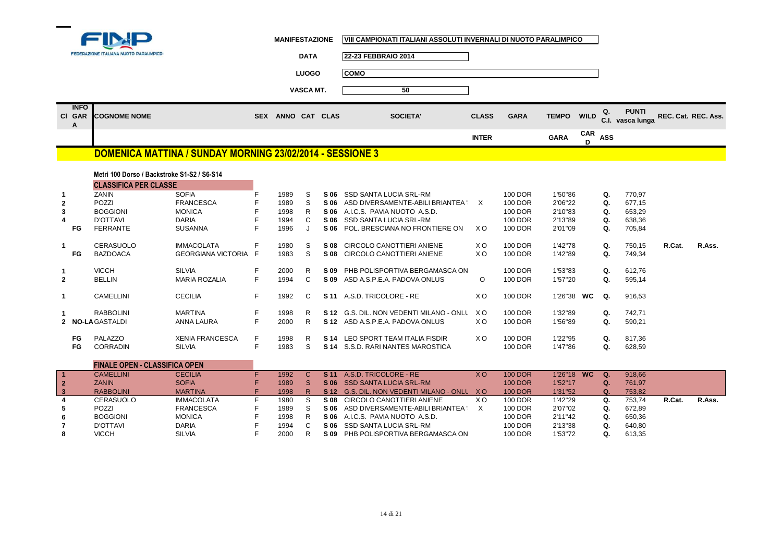

|  | MANIFESTAZIONE | VIII CAMPIONATI ITALIANI ASSOLUTI INVERNALI DI NUOTO PARALIMPICO |
|--|----------------|------------------------------------------------------------------|
|--|----------------|------------------------------------------------------------------|

|                |             |                                                                             |                                                           |            | <b>MANIFESTAZIONE</b> |                  |      | VIII CAMPIONATI ITALIANI ASSOLUTI INVERNALI DI NUOTO PARALIMPICO |                |             |              |                 |            |                                  |                     |        |
|----------------|-------------|-----------------------------------------------------------------------------|-----------------------------------------------------------|------------|-----------------------|------------------|------|------------------------------------------------------------------|----------------|-------------|--------------|-----------------|------------|----------------------------------|---------------------|--------|
|                |             | FEDERAZIONE ITALIANA NUOTO PARALIMPICO                                      |                                                           |            |                       | <b>DATA</b>      |      | 22-23 FEBBRAIO 2014                                              |                |             |              |                 |            |                                  |                     |        |
|                |             |                                                                             |                                                           |            |                       | <b>LUOGO</b>     |      | <b>COMO</b>                                                      |                |             |              |                 |            |                                  |                     |        |
|                |             |                                                                             |                                                           |            |                       | <b>VASCA MT.</b> |      | 50                                                               |                |             |              |                 |            |                                  |                     |        |
|                | <b>INFO</b> |                                                                             |                                                           |            |                       |                  |      |                                                                  |                |             |              |                 |            |                                  |                     |        |
|                | CI GAR<br>А | <b>COGNOME NOME</b>                                                         |                                                           | <b>SEX</b> | ANNO CAT CLAS         |                  |      | <b>SOCIETA'</b>                                                  | <b>CLASS</b>   | <b>GARA</b> | <b>TEMPO</b> | <b>WILD</b>     | Q.         | <b>PUNTI</b><br>C.I. vasca lunga | REC. Cat. REC. Ass. |        |
|                |             |                                                                             |                                                           |            |                       |                  |      |                                                                  | <b>INTER</b>   |             | <b>GARA</b>  | <b>CAR</b><br>D | <b>ASS</b> |                                  |                     |        |
|                |             |                                                                             | DOMENICA MATTINA / SUNDAY MORNING 23/02/2014 - SESSIONE 3 |            |                       |                  |      |                                                                  |                |             |              |                 |            |                                  |                     |        |
|                |             |                                                                             |                                                           |            |                       |                  |      |                                                                  |                |             |              |                 |            |                                  |                     |        |
|                |             | Metri 100 Dorso / Backstroke S1-S2 / S6-S14<br><b>CLASSIFICA PER CLASSE</b> |                                                           |            |                       |                  |      |                                                                  |                |             |              |                 |            |                                  |                     |        |
|                |             | ZANIN                                                                       | <b>SOFIA</b>                                              |            | 1989                  | S                |      | S 06 SSD SANTA LUCIA SRL-RM                                      |                | 100 DOR     | 1'50"86      |                 | Q.         | 770,97                           |                     |        |
| $\mathbf{2}$   |             | POZZI                                                                       | <b>FRANCESCA</b>                                          |            | 1989                  | S                |      | S 06 ASD DIVERSAMENTE-ABILI BRIANTEA \ X                         |                | 100 DOR     | 2'06"22      |                 | Q.         | 677,15                           |                     |        |
|                |             | <b>BOGGIONI</b>                                                             | <b>MONICA</b>                                             |            | 1998                  | R.               |      | S 06 A.I.C.S. PAVIA NUOTO A.S.D.                                 |                | 100 DOR     | 2'10"83      |                 | Q.         | 653,29                           |                     |        |
|                |             | <b>D'OTTAVI</b>                                                             | <b>DARIA</b>                                              |            | 1994                  | C                |      | S 06 SSD SANTA LUCIA SRL-RM                                      |                | 100 DOR     | 2'13"89      |                 | Q.         | 638,36                           |                     |        |
|                | FG          | <b>FERRANTE</b>                                                             | <b>SUSANNA</b>                                            | F          | 1996                  | J                | S 06 | POL. BRESCIANA NO FRONTIERE ON                                   | X O            | 100 DOR     | 2'01"09      |                 | Q.         | 705,84                           |                     |        |
| $\mathbf{1}$   |             | CERASUOLO                                                                   | <b>IMMACOLATA</b>                                         | F          | 1980                  | S                |      | S 08 CIRCOLO CANOTTIERI ANIENE                                   | X <sub>O</sub> | 100 DOR     | 1'42"78      |                 | Q.         | 750,15                           | R.Cat.              | R.Ass. |
|                | <b>FG</b>   | <b>BAZDOACA</b>                                                             | <b>GEORGIANA VICTORIA F</b>                               |            | 1983                  | S                |      | S 08 CIRCOLO CANOTTIERI ANIENE                                   | X O            | 100 DOR     | 1'42"89      |                 | Q.         | 749,34                           |                     |        |
| 1              |             | <b>VICCH</b>                                                                | <b>SILVIA</b>                                             | F          | 2000                  | R                |      | S 09 PHB POLISPORTIVA BERGAMASCA ON                              |                | 100 DOR     | 1'53"83      |                 | Q.         | 612,76                           |                     |        |
| $\overline{2}$ |             | <b>BELLIN</b>                                                               | <b>MARIA ROZALIA</b>                                      | E          | 1994                  | C                | S 09 | ASD A.S.P.E.A. PADOVA ONLUS                                      | $\circ$        | 100 DOR     | 1'57"20      |                 | Q.         | 595,14                           |                     |        |
| $\mathbf{1}$   |             | <b>CAMELLINI</b>                                                            | <b>CECILIA</b>                                            | F          | 1992                  | C                |      | S 11 A.S.D. TRICOLORE - RE                                       | X O            | 100 DOR     | 1'26"38 WC   |                 | Q.         | 916,53                           |                     |        |
|                |             | <b>RABBOLINI</b>                                                            | <b>MARTINA</b>                                            | F          | 1998                  | R                |      | S 12 G.S. DIL. NON VEDENTI MILANO - ONLU                         | X O            | 100 DOR     | 1'32"89      |                 | Q.         | 742,71                           |                     |        |
|                |             | 2 NO-LA GASTALDI                                                            | ANNA LAURA                                                | E          | 2000                  | R                |      | S 12 ASD A.S.P.E.A. PADOVA ONLUS                                 | X <sub>O</sub> | 100 DOR     | 1'56"89      |                 | Q.         | 590,21                           |                     |        |
|                | <b>FG</b>   | PALAZZO                                                                     | <b>XENIA FRANCESCA</b>                                    | F          | 1998                  | R                |      | S 14 LEO SPORT TEAM ITALIA FISDIR                                | X O            | 100 DOR     | 1'22"95      |                 | Q.         | 817,36                           |                     |        |
|                | <b>FG</b>   | <b>CORRADIN</b>                                                             | <b>SILVIA</b>                                             | F          | 1983                  | S                |      | <b>S14 S.S.D. RARI NANTES MAROSTICA</b>                          |                | 100 DOR     | 1'47"86      |                 | Q.         | 628,59                           |                     |        |

|                            | <b>FINALE OPEN - CLASSIFICA OPEN</b> |                   |      |   |      |                                              |    |                |            |    |        |       |        |
|----------------------------|--------------------------------------|-------------------|------|---|------|----------------------------------------------|----|----------------|------------|----|--------|-------|--------|
|                            | <b>CAMELLINI</b>                     | <b>CECILIA</b>    | 1992 |   | S 11 | A.S.D. TRICOLORE - RE                        | xо | <b>100 DOR</b> | 1'26"18 WC | Q. | 918.66 |       |        |
| $\overline{\phantom{0}}$ 2 | <b>ZANIN</b>                         | <b>SOFIA</b>      | 1989 |   |      | S 06 SSD SANTA LUCIA SRL-RM                  |    | <b>100 DOR</b> | 1'52"17    |    | 761.97 |       |        |
|                            | <b>RABBOLINI</b>                     | <b>MARTINA</b>    | 1998 |   |      | S 12 G.S. DIL. NON VEDENTI MILANO - ONLL X O |    | <b>100 DOR</b> | 1'31"52    | Ω. | 753,82 |       |        |
|                            | CERASUOLO                            | <b>IMMACOLATA</b> | 1980 |   | S 08 | CIRCOLO CANOTTIERI ANIENE                    | ΧO | 100 DOR        | 1'42"29    | Q. | 753.74 | R.Cat | R.Ass. |
|                            | <b>POZZI</b>                         | <b>FRANCESCA</b>  | 1989 |   |      | S 06 ASD DIVERSAMENTE-ABILI BRIANTEA         |    | 100 DOR        | 2'07"02    | Q. | 672.89 |       |        |
|                            | <b>BOGGIONI</b>                      | <b>MONICA</b>     | 1998 | R |      | S 06 A.I.C.S. PAVIA NUOTO A.S.D.             |    | 100 DOR        | 2'11"42    | Q. | 650.36 |       |        |
|                            | D'OTTAVI                             | <b>DARIA</b>      | 1994 |   |      | S 06 SSD SANTA LUCIA SRL-RM                  |    | <b>100 DOR</b> | 2'13"38    | Q. | 640.80 |       |        |
|                            | VICCH                                | <b>SILVIA</b>     | 2000 |   |      | S 09 PHB POLISPORTIVA BERGAMASCA ON          |    | <b>100 DOR</b> | 1'53"72    | Q. | 613,35 |       |        |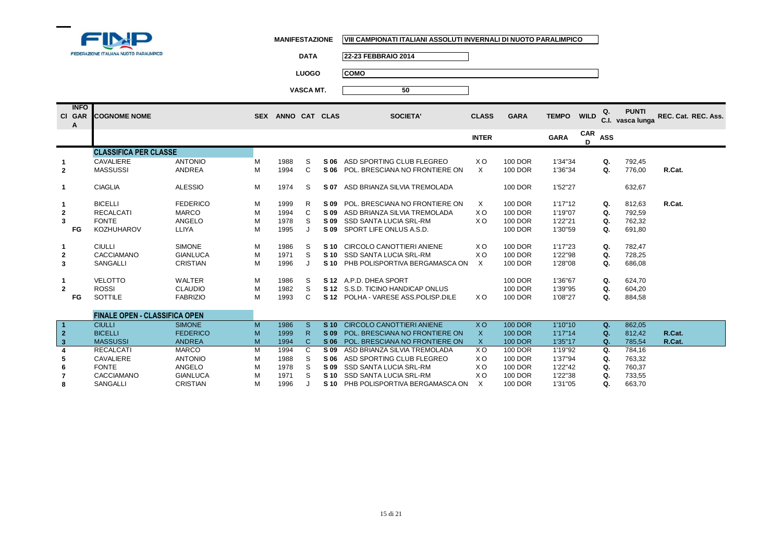

**7**

**8**

CACCIAMANO GIANLUCA M<br>SANGALLI CRISTIAN M

**MANIFESTAZIONE VIII CAMPIONATI ITALIANI ASSOLUTI INVERNALI DI NUOTO PARALIMPICO**

**DATA 22-23 FEBBRAIO 2014**

**LUOGO COMO**

**VASCA MT. 50**

|                | <b>INFO</b><br>CI GAR<br>A | <b>COGNOME NOME</b>                  |                 |   | SEX ANNO CAT CLAS |    |            | <b>SOCIETA'</b>                     | <b>CLASS</b>   | <b>GARA</b>    | <b>TEMPO</b> | <b>WILD</b>     | Q.         | <b>PUNTI</b><br>C.I. vasca lunga | REC. Cat. REC. Ass. |
|----------------|----------------------------|--------------------------------------|-----------------|---|-------------------|----|------------|-------------------------------------|----------------|----------------|--------------|-----------------|------------|----------------------------------|---------------------|
|                |                            |                                      |                 |   |                   |    |            |                                     | <b>INTER</b>   |                | <b>GARA</b>  | <b>CAR</b><br>D | <b>ASS</b> |                                  |                     |
|                |                            | <b>CLASSIFICA PER CLASSE</b>         |                 |   |                   |    |            |                                     |                |                |              |                 |            |                                  |                     |
|                |                            | CAVALIERE                            | <b>ANTONIO</b>  | M | 1988              | S  | S 06       | ASD SPORTING CLUB FLEGREO           | X O            | 100 DOR        | 1'34"34      |                 | Q.         | 792,45                           |                     |
| $\overline{2}$ |                            | <b>MASSUSSI</b>                      | ANDREA          | M | 1994              | C  |            | S 06 POL. BRESCIANA NO FRONTIERE ON | $\times$       | 100 DOR        | 1'36"34      |                 | Q.         | 776,00                           | R.Cat.              |
|                |                            | <b>CIAGLIA</b>                       | <b>ALESSIO</b>  | M | 1974              | S  | S 07       | ASD BRIANZA SILVIA TREMOLADA        |                | 100 DOR        | 1'52"27      |                 |            | 632,67                           |                     |
|                |                            | <b>BICELLI</b>                       | <b>FEDERICO</b> | м | 1999              | R  |            | S 09 POL. BRESCIANA NO FRONTIERE ON | X              | 100 DOR        | 1'17"12      |                 | Q.         | 812,63                           | R.Cat.              |
| 2              |                            | <b>RECALCATI</b>                     | <b>MARCO</b>    | M | 1994              | C  |            | S 09 ASD BRIANZA SILVIA TREMOLADA   | XO.            | 100 DOR        | 1'19"07      |                 | Q.         | 792.59                           |                     |
| 3              |                            | <b>FONTE</b>                         | ANGELO          | M | 1978              | S  |            | S 09 SSD SANTA LUCIA SRL-RM         | XO.            | 100 DOR        | 1'22"21      |                 | Q.         | 762,32                           |                     |
|                | FG                         | <b>KOZHUHAROV</b>                    | <b>LLIYA</b>    | M | 1995              |    |            | S 09 SPORT LIFE ONLUS A.S.D.        |                | 100 DOR        | 1'30"59      |                 | Q.         | 691,80                           |                     |
|                |                            | <b>CIULLI</b>                        | <b>SIMONE</b>   | M | 1986              | S  |            | S 10 CIRCOLO CANOTTIERI ANIENE      | X O            | 100 DOR        | 1'17"23      |                 | Q.         | 782.47                           |                     |
| 2              |                            | <b>CACCIAMANO</b>                    | <b>GIANLUCA</b> | M | 1971              | S  |            | S 10 SSD SANTA LUCIA SRL-RM         | X O            | 100 DOR        | 1'22"98      |                 | Q.         | 728.25                           |                     |
| 3              |                            | <b>SANGALLI</b>                      | <b>CRISTIAN</b> | M | 1996              |    |            | S 10 PHB POLISPORTIVA BERGAMASCA ON | X              | 100 DOR        | 1'28"08      |                 | Q.         | 686,08                           |                     |
|                |                            | <b>VELOTTO</b>                       | WALTER          | M | 1986              | -S |            | S 12 A.P.D. DHEA SPORT              |                | 100 DOR        | 1'36"67      |                 | Q.         | 624,70                           |                     |
| $\overline{2}$ |                            | <b>ROSSI</b>                         | <b>CLAUDIO</b>  | M | 1982              | S  |            | S 12 S.S.D. TICINO HANDICAP ONLUS   |                | 100 DOR        | 1'39"95      |                 | Q.         | 604,20                           |                     |
|                | FG                         | <b>SOTTILE</b>                       | <b>FABRIZIO</b> | M | 1993              | C  |            | S 12 POLHA - VARESE ASS POLISP DILE | X O            | 100 DOR        | 1'08"27      |                 | Q.         | 884,58                           |                     |
|                |                            | <b>FINALE OPEN - CLASSIFICA OPEN</b> |                 |   |                   |    |            |                                     |                |                |              |                 |            |                                  |                     |
| $\overline{1}$ |                            | <b>CIULLI</b>                        | <b>SIMONE</b>   | M | 1986              | S. |            | S 10 CIRCOLO CANOTTIERI ANIENE      | <b>XO</b>      | <b>100 DOR</b> | 1'10"10      |                 | Q.         | 862,05                           |                     |
| $\mathbf 2$    |                            | <b>BICELLI</b>                       | <b>FEDERICO</b> | M | 1999              | R. | S 09       | POL. BRESCIANA NO FRONTIERE ON      | X              | <b>100 DOR</b> | 1'17"14      |                 | Q.         | 812,42                           | R.Cat.              |
| $\mathbf{3}$   |                            | <b>MASSUSSI</b>                      | <b>ANDREA</b>   | M | 1994              | C  | <b>S06</b> | POL. BRESCIANA NO FRONTIERE ON      | X              | <b>100 DOR</b> | 1'35"17      |                 | Q.         | 785.54                           | R.Cat.              |
|                |                            | <b>RECALCATI</b>                     | <b>MARCO</b>    | M | 1994              | C  | S 09       | ASD BRIANZA SILVIA TREMOLADA        | X <sub>O</sub> | 100 DOR        | 1'19"92      |                 | Q.         | 784.16                           |                     |
|                |                            | CAVALIERE                            | <b>ANTONIO</b>  | м | 1988              | S  |            | S 06 ASD SPORTING CLUB FLEGREO      | X O            | 100 DOR        | 1'37"94      |                 | Q.         | 763,32                           |                     |
|                |                            | <b>FONTE</b><br>                     | ANGELO          | M | 1978              | S  |            | S 09 SSD SANTA LUCIA SRL-RM         | X <sub>O</sub> | 100 DOR        | 1'22"42      |                 | Q.         | 760,37                           |                     |
|                |                            |                                      |                 |   | $\cdot$ $ -$      |    |            |                                     | $\cdot$ $\sim$ |                |              |                 |            |                                  |                     |

**S 10** SSD SANTA LUCIA SRL-RM X O 100 DOR 1'22"38 **Q.** 733,55

1996 J **S10** PHB POLISPORTIVA BERGAMASCA ON X 100 DOR 1'31"05 **Q.** 663,70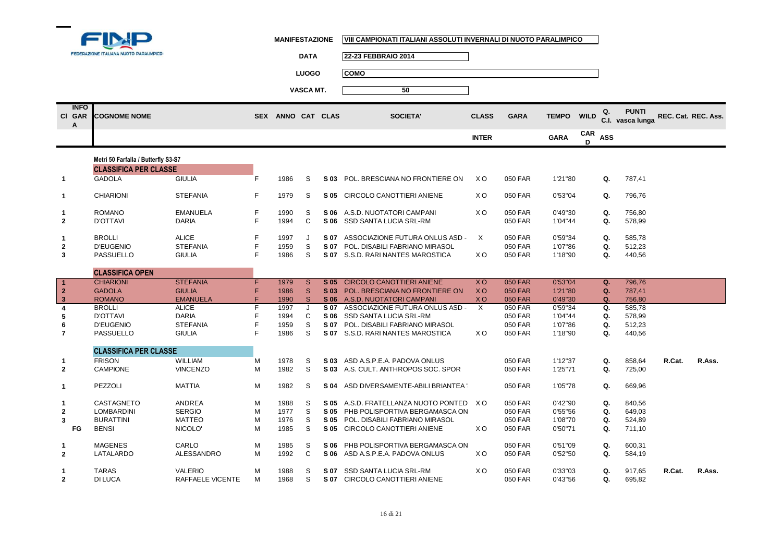

|                            | FEDERAZIONE ITALIANA NUOTO PARALIMPICO |                   |    |                   | <b>DATA</b>             |      | 22-23 FEBBRAIO 2014                  |                |                |              |                 |             |                                  |                     |        |
|----------------------------|----------------------------------------|-------------------|----|-------------------|-------------------------|------|--------------------------------------|----------------|----------------|--------------|-----------------|-------------|----------------------------------|---------------------|--------|
|                            |                                        |                   |    |                   | <b>LUOGO</b>            |      | <b>COMO</b>                          |                |                |              |                 |             |                                  |                     |        |
|                            |                                        |                   |    |                   |                         |      |                                      |                |                |              |                 |             |                                  |                     |        |
|                            |                                        |                   |    |                   | VASCA MT.               |      | 50                                   |                |                |              |                 |             |                                  |                     |        |
| <b>INFO</b><br>CI GAR<br>А | <b>COGNOME NOME</b>                    |                   |    | SEX ANNO CAT CLAS |                         |      | <b>SOCIETA'</b>                      | <b>CLASS</b>   | <b>GARA</b>    | <b>TEMPO</b> | <b>WILD</b>     | Q.          | <b>PUNTI</b><br>C.I. vasca lunga | REC. Cat. REC. Ass. |        |
|                            |                                        |                   |    |                   |                         |      |                                      | <b>INTER</b>   |                | <b>GARA</b>  | <b>CAR</b><br>D | <b>ASS</b>  |                                  |                     |        |
|                            | Metri 50 Farfalla / Butterfly S3-S7    |                   |    |                   |                         |      |                                      |                |                |              |                 |             |                                  |                     |        |
|                            | <b>CLASSIFICA PER CLASSE</b>           |                   |    |                   |                         |      |                                      |                |                |              |                 |             |                                  |                     |        |
| $\mathbf 1$                | <b>GADOLA</b>                          | <b>GIULIA</b>     | F. | 1986              | S                       |      | S 03 POL. BRESCIANA NO FRONTIERE ON  | X O            | 050 FAR        | 1'21"80      |                 | Q.          | 787,41                           |                     |        |
|                            |                                        |                   |    |                   |                         |      |                                      |                |                |              |                 |             |                                  |                     |        |
| $\mathbf 1$                | <b>CHIARIONI</b>                       | <b>STEFANIA</b>   | F  | 1979              | S                       |      | S 05 CIRCOLO CANOTTIERI ANIENE       | X <sub>O</sub> | 050 FAR        | 0'53"04      |                 | Q.          | 796,76                           |                     |        |
| 1                          | <b>ROMANO</b>                          | <b>EMANUELA</b>   | F  | 1990              | S                       |      | S 06 A.S.D. NUOTATORI CAMPANI        | X <sub>O</sub> | 050 FAR        | 0'49"30      |                 | Q.          | 756,80                           |                     |        |
| $\overline{2}$             | <b>D'OTTAVI</b>                        | <b>DARIA</b>      | F. | 1994              | C                       | S 06 | SSD SANTA LUCIA SRL-RM               |                | 050 FAR        | 1'04"44      |                 | Q.          | 578,99                           |                     |        |
| $\mathbf{1}$               | <b>BROLLI</b>                          | <b>ALICE</b>      | F  | 1997              | J                       |      | S 07 ASSOCIAZIONE FUTURA ONLUS ASD - | $\times$       | 050 FAR        | 0'59"34      |                 | Q.          | 585,78                           |                     |        |
| $\mathbf{2}$               | <b>D'EUGENIO</b>                       | <b>STEFANIA</b>   | F  | 1959              | S                       | S 07 | POL. DISABILI FABRIANO MIRASOL       |                | 050 FAR        | 1'07"86      |                 | Q.          | 512,23                           |                     |        |
| 3                          | PASSUELLO                              | <b>GIULIA</b>     | F  | 1986              | S                       |      | S 07 S.S.D. RARI NANTES MAROSTICA    | X <sub>O</sub> | 050 FAR        | 1'18"90      |                 | Q.          | 440,56                           |                     |        |
|                            | <b>CLASSIFICA OPEN</b>                 |                   |    |                   |                         |      |                                      |                |                |              |                 |             |                                  |                     |        |
| -1                         | <b>CHIARIONI</b>                       | <b>STEFANIA</b>   | F  | 1979              | $\overline{\mathbf{s}}$ |      | S 05 CIRCOLO CANOTTIERI ANIENE       | $X$ O          | <b>050 FAR</b> | 0'53"04      |                 | $Q_{\star}$ | 796,76                           |                     |        |
| $\mathbf{2}$               | <b>GADOLA</b>                          | <b>GIULIA</b>     | F  | 1986              | <sub>S</sub>            |      | S 03 POL. BRESCIANA NO FRONTIERE ON  | <b>XO</b>      | <b>050 FAR</b> | 1'21"80      |                 | Q.          | 787.41                           |                     |        |
| $\mathbf{3}$               | <b>ROMANO</b>                          | <b>EMANUELA</b>   | F  | 1990              | <sub>S</sub>            |      | S 06 A.S.D. NUOTATORI CAMPANI        | <b>XO</b>      | <b>050 FAR</b> | 0'49"30      |                 | Q.          | 756,80                           |                     |        |
| $\overline{\bf{4}}$        | <b>BROLLI</b>                          | <b>ALICE</b>      | F  | 1997              | J                       | S 07 | ASSOCIAZIONE FUTURA ONLUS ASD -      | $\times$       | 050 FAR        | 0'59"34      |                 | Q.          | 585,78                           |                     |        |
| 5                          | <b>D'OTTAVI</b>                        | <b>DARIA</b>      | F  | 1994              | C                       |      | S 06 SSD SANTA LUCIA SRL-RM          |                | 050 FAR        | 1'04"44      |                 | Q.          | 578,99                           |                     |        |
| 6                          | <b>D'EUGENIO</b>                       | <b>STEFANIA</b>   | F  | 1959              | S                       | S 07 | POL. DISABILI FABRIANO MIRASOL       |                | 050 FAR        | 1'07"86      |                 | Q.          | 512,23                           |                     |        |
| $\overline{7}$             | <b>PASSUELLO</b>                       | <b>GIULIA</b>     | F  | 1986              | S                       |      | S 07 S.S.D. RARI NANTES MAROSTICA    | X O            | 050 FAR        | 1'18"90      |                 | Q.          | 440,56                           |                     |        |
|                            | <b>CLASSIFICA PER CLASSE</b>           |                   |    |                   |                         |      |                                      |                |                |              |                 |             |                                  |                     |        |
| 1                          | <b>FRISON</b>                          | <b>WILLIAM</b>    | м  | 1978              | S                       |      | S 03 ASD A.S.P.E.A. PADOVA ONLUS     |                | 050 FAR        | 1'12"37      |                 | Q.          | 858,64                           | R.Cat.              | R.Ass. |
| $\mathbf{2}$               | <b>CAMPIONE</b>                        | <b>VINCENZO</b>   | M  | 1982              | S                       |      | S 03 A.S. CULT. ANTHROPOS SOC. SPOR  |                | 050 FAR        | 1'25"71      |                 | Q.          | 725,00                           |                     |        |
| 1                          | PEZZOLI                                | <b>MATTIA</b>     | M  | 1982              | S                       | S 04 | ASD DIVERSAMENTE-ABILI BRIANTEA \    |                | 050 FAR        | 1'05"78      |                 | Q.          | 669,96                           |                     |        |
| $\mathbf 1$                | CASTAGNETO                             | <b>ANDREA</b>     | M  | 1988              | S                       |      | S 05 A.S.D. FRATELLANZA NUOTO PONTED | X O            | 050 FAR        | 0'42"90      |                 | Q.          | 840,56                           |                     |        |
| $\mathbf{2}$               | <b>LOMBARDINI</b>                      | <b>SERGIO</b>     | M  | 1977              | S                       |      | S 05 PHB POLISPORTIVA BERGAMASCA ON  |                | 050 FAR        | 0'55"56      |                 | Q.          | 649,03                           |                     |        |
| 3                          | <b>BURATTINI</b>                       | <b>MATTEO</b>     | M  | 1976              | S                       |      | S 05 POL. DISABILI FABRIANO MIRASOL  |                | 050 FAR        | 1'08"70      |                 | Q.          | 524,89                           |                     |        |
| FG                         | <b>BENSI</b>                           | NICOLO'           | M  | 1985              | S                       |      | S 05 CIRCOLO CANOTTIERI ANIENE       | X O            | 050 FAR        | 0'50"71      |                 | Q.          | 711,10                           |                     |        |
| $\mathbf 1$                | <b>MAGENES</b>                         | CARLO             | м  | 1985              | S                       | S 06 | PHB POLISPORTIVA BERGAMASCA ON       |                | 050 FAR        | 0'51"09      |                 | Q.          | 600,31                           |                     |        |
| $\overline{2}$             | LATALARDO                              | <b>ALESSANDRO</b> | M  | 1992              | C                       |      | S 06 ASD A.S.P.E.A. PADOVA ONLUS     | X <sub>O</sub> | 050 FAR        | 0'52"50      |                 | Q.          | 584,19                           |                     |        |
| 1                          | <b>TARAS</b>                           | <b>VALERIO</b>    | M  | 1988              | S                       | S 07 | <b>SSD SANTA LUCIA SRL-RM</b>        | X <sub>O</sub> | 050 FAR        | 0'33"03      |                 | Q.          | 917,65                           | R.Cat.              | R.Ass. |
| $\overline{2}$             | <b>DI LUCA</b>                         | RAFFAELE VICENTE  | м  | 1968              | S                       |      | S 07 CIRCOLO CANOTTIERI ANIENE       |                | 050 FAR        | 0'43"56      |                 | Q.          | 695,82                           |                     |        |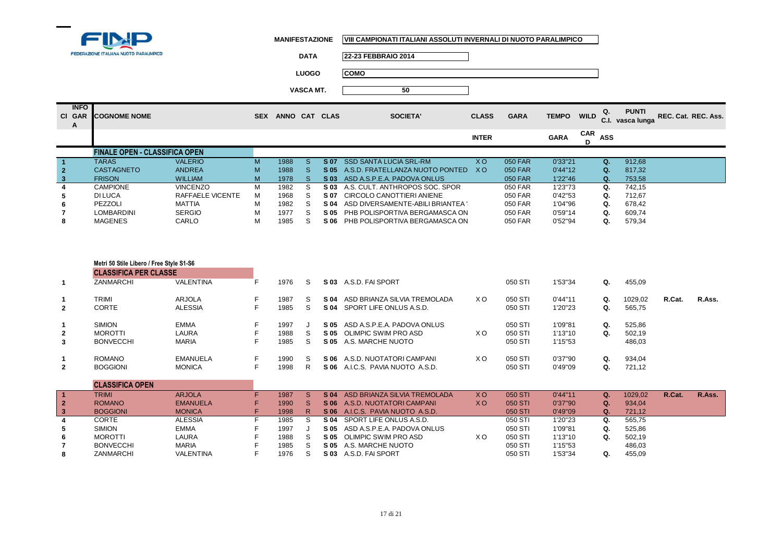

| <b>DATA</b>      | 22-23 FEBBRAIO 2014 |
|------------------|---------------------|
| <b>LUOGO</b>     | <b>COMO</b>         |
| <b>VASCA MT.</b> | 50                  |

| <b>INFO</b><br>CI GAR<br>A | <b>COGNOME NOME</b>                  |                  | <b>SEX</b> | <b>ANNO</b> | CAT      | <b>CLAS</b>     | <b>SOCIETA'</b>                   | <b>CLASS</b> | <b>GARA</b> | <b>TEMPO</b> | <b>WILD</b> | Q.         | <b>PUNTI</b><br>C.I. vasca lunga | REC. Cat. REC. Ass. |
|----------------------------|--------------------------------------|------------------|------------|-------------|----------|-----------------|-----------------------------------|--------------|-------------|--------------|-------------|------------|----------------------------------|---------------------|
|                            |                                      |                  |            |             |          |                 |                                   | <b>INTER</b> |             | <b>GARA</b>  | CAR         | <b>ASS</b> |                                  |                     |
|                            | <b>FINALE OPEN - CLASSIFICA OPEN</b> |                  |            |             |          |                 |                                   |              |             |              |             |            |                                  |                     |
|                            | <b>TARAS</b>                         | <b>VALERIO</b>   | M          | 1988        | <b>S</b> | <b>S07</b>      | <b>SSD SANTA LUCIA SRL-RM</b>     | XO.          | 050 FAR     | 0'33"21      |             | Ω.         | 912.68                           |                     |
| $\overline{2}$             | <b>CASTAGNETO</b>                    | <b>ANDREA</b>    | M          | 1988        | S.       | S 05            | A.S.D. FRATELLANZA NUOTO PONTEDI  | X O          | 050 FAR     | 0'44"12      |             | Q.         | 817.32                           |                     |
| $\mathbf{3}$               | <b>FRISON</b>                        | <b>WILLIAM</b>   | M          | 1978        | S.       | S <sub>03</sub> | ASD A.S.P.E.A. PADOVA ONLUS       |              | 050 FAR     | 1'22''46     |             | $\Omega$ . | 753.58                           |                     |
|                            | <b>CAMPIONE</b>                      | <b>VINCENZO</b>  | м          | 1982        |          | S 03            | A.S. CULT. ANTHROPOS SOC. SPOR    |              | 050 FAR     | 1'23"73      |             | Q.         | 742.15                           |                     |
| 5.                         | <b>DILUCA</b>                        | RAFFAELE VICENTE | м          | 1968        | S.       | S 07            | CIRCOLO CANOTTIERI ANIENE         |              | 050 FAR     | 0'42"53      |             | Q.         | 712.67                           |                     |
| 6                          | PEZZOLI                              | <b>MATTIA</b>    | м          | 1982        |          | S 04            | ASD DIVERSAMENTE-ABILI BRIANTEA ' |              | 050 FAR     | 1'04"96      |             | Q.         | 678,42                           |                     |
|                            | <b>LOMBARDINI</b>                    | <b>SERGIO</b>    | м          | 1977        | S        | S 05            | PHB POLISPORTIVA BERGAMASCA ON    |              | 050 FAR     | 0'59"14      |             | Ω.         | 609,74                           |                     |
| 8                          | <b>MAGENES</b>                       | CARLO            | м          | 1985        |          | S 06            | PHB POLISPORTIVA BERGAMASCA ON    |              | 050 FAR     | 0'52''94     |             | Q.         | 579,34                           |                     |

|                      | Metri 50 Stile Libero / Free Style S1-S6 |                 |    |      |    |                 |                                  |           |         |         |    |         |        |        |
|----------------------|------------------------------------------|-----------------|----|------|----|-----------------|----------------------------------|-----------|---------|---------|----|---------|--------|--------|
|                      | <b>CLASSIFICA PER CLASSE</b>             |                 |    |      |    |                 |                                  |           |         |         |    |         |        |        |
| 1                    | ZANMARCHI                                | VALENTINA       | F. | 1976 | S. |                 | S 03 A.S.D. FAI SPORT            |           | 050 STI | 1'53"34 | Q. | 455,09  |        |        |
| $\mathbf 1$          | <b>TRIMI</b>                             | <b>ARJOLA</b>   | F. | 1987 | S  | S 04            | ASD BRIANZA SILVIA TREMOLADA     | X O       | 050 STI | 0'44"11 | Q. | 1029,02 | R.Cat. | R.Ass. |
| $\mathbf{2}$         | <b>CORTE</b>                             | <b>ALESSIA</b>  | F  | 1985 | S  |                 | S 04 SPORT LIFE ONLUS A.S.D.     |           | 050 STI | 1'20"23 | Q. | 565,75  |        |        |
| $\mathbf{1}$         | <b>SIMION</b>                            | <b>EMMA</b>     | F. | 1997 |    |                 | S 05 ASD A.S.P.E.A. PADOVA ONLUS |           | 050 STI | 1'09"81 | Q. | 525,86  |        |        |
| $\mathbf{2}$         | <b>MOROTTI</b>                           | LAURA           | F  | 1988 | S  |                 | <b>S 05 OLIMPIC SWIM PRO ASD</b> | X O       | 050 STI | 1'13"10 | Q. | 502,19  |        |        |
| 3                    | <b>BONVECCHI</b>                         | <b>MARIA</b>    | F  | 1985 | S  |                 | S 05 A.S. MARCHE NUOTO           |           | 050 STI | 1'15"53 |    | 486,03  |        |        |
| $\mathbf{1}$         | <b>ROMANO</b>                            | EMANUELA        | F  | 1990 | S. |                 | S 06 A.S.D. NUOTATORI CAMPANI    | X O       | 050 STI | 0'37"90 | Q. | 934,04  |        |        |
| $\mathbf{2}$         | <b>BOGGIONI</b>                          | <b>MONICA</b>   | F  | 1998 | R  | S 06            | A.I.C.S. PAVIA NUOTO A.S.D.      |           | 050 STI | 0'49"09 | Q. | 721,12  |        |        |
|                      | <b>CLASSIFICA OPEN</b>                   |                 |    |      |    |                 |                                  |           |         |         |    |         |        |        |
| $\blacktriangleleft$ | <b>TRIMI</b>                             | <b>ARJOLA</b>   | F. | 1987 | S  | S <sub>04</sub> | ASD BRIANZA SILVIA TREMOLADA     | <b>XO</b> | 050 STI | 0'44"11 | Q. | 1029,02 | R.Cat. | R.Ass. |
| $\overline{2}$       | <b>ROMANO</b>                            | <b>EMANUELA</b> |    | 1990 | S. |                 | S 06 A.S.D. NUOTATORI CAMPANI    | <b>XO</b> | 050 STI | 0'37"90 | Q. | 934,04  |        |        |
| 3                    | <b>BOGGIONI</b>                          | <b>MONICA</b>   | F. | 1998 | R  | <b>S06</b>      | A.I.C.S. PAVIA NUOTO A.S.D.      |           | 050 STI | 0'49"09 | Q. | 721.12  |        |        |
| 4                    | <b>CORTE</b>                             | <b>ALESSIA</b>  | F. | 1985 | S  | S 04            | SPORT LIFE ONLUS A.S.D.          |           | 050 STI | 1'20"23 | Q. | 565,75  |        |        |
| 5                    | <b>SIMION</b>                            | <b>EMMA</b>     |    | 1997 |    | S 05            | ASD A.S.P.E.A. PADOVA ONLUS      |           | 050 STI | 1'09"81 | Q. | 525,86  |        |        |
| 6                    | <b>MOROTTI</b>                           | LAURA           |    | 1988 | S  | S 05            | OLIMPIC SWIM PRO ASD             | X O       | 050 STI | 1'13"10 | Q. | 502,19  |        |        |
| $\overline{7}$       | <b>BONVECCHI</b>                         | <b>MARIA</b>    |    | 1985 | S  | S 05            | A.S. MARCHE NUOTO                |           | 050 STI | 1'15"53 |    | 486,03  |        |        |
| 8                    | <b>ZANMARCHI</b>                         | VALENTINA       | F  | 1976 | S  | S 03            | A.S.D. FAI SPORT                 |           | 050 STI | 1'53"34 | Q. | 455,09  |        |        |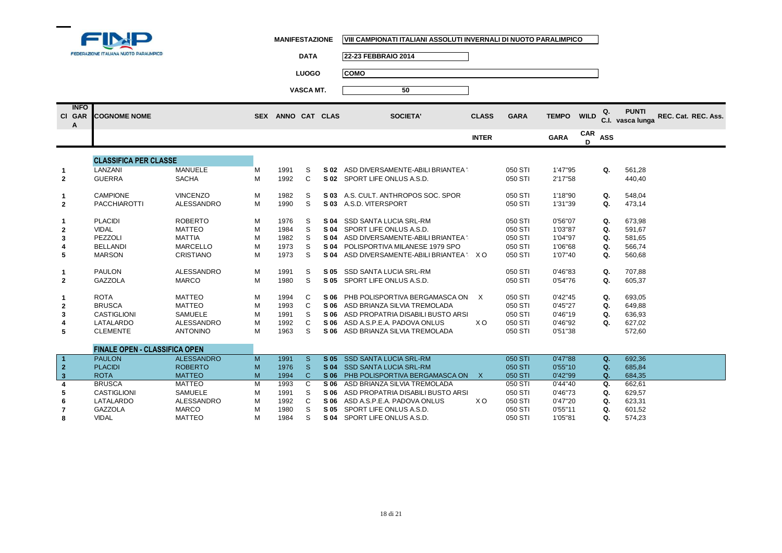

**1**

**1**

**MANIFESTAZIONE VIII CAMPIONATI ITALIANI ASSOLUTI INVERNALI DI NUOTO PARALIMPICO**

FEDERAZIONE ITALIANA NUOTO PARALIMPICO **DATA 22-23 FEBBRAIO 2014LUOGO COMOVASCA MT. 50INFO Q. C.I. PUNTI vasca lunga REC. Cat. REC. Ass. COGNOME NOME SEX ANNO CAT CLAS SOCIETA' CLASS GARA TEMPO WILDCl GARAA** CAR ASS **INTER GARACLASSIFICA PER CLASSEMANUELE S 02** ASD DIVERSAMENTE-ABILI BRIANTEA '8 050 STI 1'47"95 **Q.** 561,28<br>C **S 02** SPORT LIFE ONLUS A.S.D. 050 STI 2'17"58 440.40 1 LANZANI MANUELE M 1991 S **2S 02 SPORT LIFE ONLUS A.S.D.** 2 GUERRA SACHA M 1992 C **S 03** A.S. CULT. ANTHROPOS SOC. SPOR 050 STI 1'18"90 **Q.** 548,04 **1**1 CAMPIONE VINCENZO M 1982 S **2**PACCHIAROTTI ALESSANDRO M 1990 **S 03** A.S.D. VITERSPORT **S 04** SSD SANTA LUCIA SRL-RM 050 STI 0'56"07 **Q.** 673,98 **1**1 PLACIDI ROBERTO M 1976 S **2 S 04** SPORT LIFE ONLUS A.S.D. 050 STI 1'03"87 **Q.** 591,67 VIDAL MATTEO <sup>M</sup> <sup>1984</sup> <sup>S</sup>**S 04** ASD DIVERSAMENTE-ABILI BRIANTEA '84 050 STI 1'04"97 **Q.** 581,65<br>S **S 04** POLISPORTIVA MILANESE 1979 SPO 050 STI 1'06"68 **Q.** 566.74 **3** PEZZOLI MATTIA <sup>M</sup> <sup>1982</sup> <sup>S</sup>**4**S **5 04** POLISPORTIVA MILANESE 1979 SPO 050 STI 1'06"68 **Q.** 566,74<br>S **5 04** ASD DIVERSAMENTE-ABILI BRIANTEA 1 X O 050 STI 1'07"40 **Q.** 560,68 BELLANDI MARCELLO <sup>M</sup> <sup>1973</sup> <sup>S</sup>**5S 04 ASD DIVERSAMENTE-ABILI BRIANTEA '8 X O** 5 MARSON CRISTIANO M 1973 S **1** PAULON ALESSANDRO <sup>M</sup> <sup>1991</sup> <sup>S</sup>**S 05** SSD SANTA LUCIA SRL-RM 050 STI 0'46"83 **Q.** 707,88<br> **S 05** SPORT LIFE ONLUS A S.D. 050 STI 0'54"76 **Q.** 605.37 **2S 05 SPORT LIFE ONLUS A.S.D.** 2 GAZZOLA MARCO M 1980 S **C S 06** PHB POLISPORTIVA BERGAMASCA ON  $\times$  050 STI 0'42"45 **Q.** 693,05<br>C **S 06** ASD BRIANZA SILVIA TREMOLADA 050 STI 0'45"27 **Q.** 649.88 1 ROTA MATTEO M 1994 C **2 S 06** ASD BRIANZA SILVIA TREMOLADA 050 STI 0'45"27 **Q.** 649,88 **2** BRUSCA MATTEO M 1993 C **3**CASTIGLIONI SAMUELE M 1991 S<br>LATALARDO ALESSANDRO M 1992 C **S 06** ASD PROPATRIA DISABILI BUSTO ARSI $\begin{array}{ccc} 0.050 & 0.01 & 0.01 & 0.01 & 0.01 & 0.01 \\ 0.01 & 0.01 & 0.01 & 0.01 & 0.01 & 0.01 & 0.01 \\ 0.01 & 0.01 & 0.01 & 0.01 & 0.01 & 0.01 & 0.01 \end{array}$ **4** LATALARDO ALESSANDRO <sup>M</sup> <sup>1992</sup> <sup>C</sup> **S 06** ASD A.S.P.E.A. PADOVA ONLUS X O 050 STI 0'46"92 **Q.** 627,02 **5S 06** ASD BRIANZA SILVIA TREMOLADA 5 CLEMENTE ANTONINO M 1963 S

## **FINALE OPEN - CLASSIFICA OPEN**1 PAULON ALESSANDRO M 1991 S **1 S 05** SSD SANTA LUCIA SRL-RM 050 STI 0'47"88 **Q.** 692,36 **2** PLACIDI ROBERTO <sup>M</sup> <sup>1976</sup> <sup>S</sup> **S 04** SSD SANTA LUCIA SRL-RM 050 STI 0'55"10 **Q.** 685,84 **3**3 ROTA MATTEO M 1994 C **S 06** PHB POLISPORTIVA BERGAMASCA ONLUSX 050 STI 0'42"99 **Q.** 684,35 **4** BRUSCA MATTEO <sup>M</sup> <sup>1993</sup> <sup>C</sup> **S 06** ASD BRIANZA SILVIA TREMOLADA 050 STI 0'44"40 **Q.** 662,61 **5**5 CASTIGLIONI SAMUELE M 1991 S **S 06** ASD PROPATRIA DISABILI BUSTO ARSIZIO 050 STI 0'46"73 **Q.** 629,57 **6** LATALARDO ALESSANDRO <sup>M</sup> <sup>1992</sup> <sup>C</sup>**S 06** ASD A.S.P.E.A. PADOVA ONLUS  $X$  O 050 STI 0'47"20 **Q.** 623,31<br>**S 05** SPORT LIFE ONLUS A.S.D. 050 STI 0'55"11 **Q.** 601.52 **7** GAZZOLA MARCO <sup>M</sup> <sup>1980</sup> <sup>S</sup> **S 05** SPORT LIFE ONLUS A.S.D. 050 STI 0'55"11 **Q.** 601,52 **8** VIDAL MATTEO <sup>M</sup> <sup>1984</sup> <sup>S</sup>**S 04 SPORT LIFE ONLUS A.S.D.**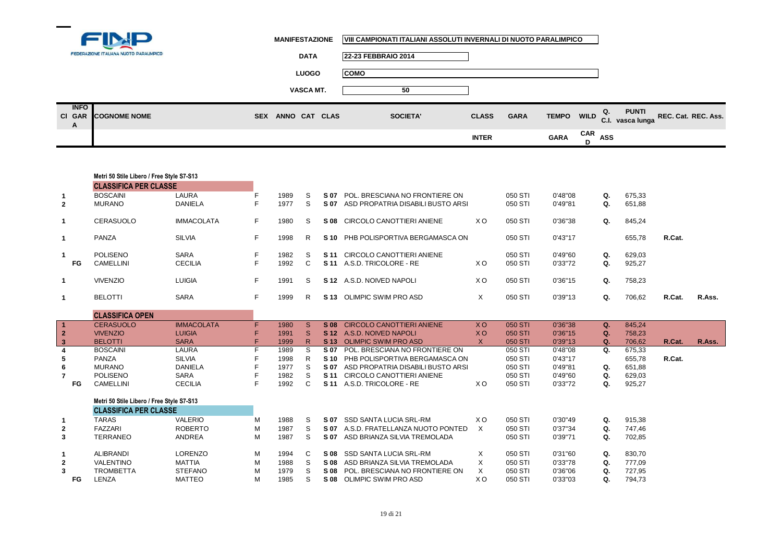

|                            | __<br>FEDERAZIONE ITALIANA NUOTO PARALIMPICO | <b>DATA</b>                 | 22-23 FEBBRAIO 2014 |              |             |             |   |                                                   |                     |
|----------------------------|----------------------------------------------|-----------------------------|---------------------|--------------|-------------|-------------|---|---------------------------------------------------|---------------------|
|                            |                                              | <b>LUOGO</b>                | <b>COMO</b>         |              |             |             |   |                                                   |                     |
|                            |                                              | VASCA MT.                   | 50                  |              |             |             |   |                                                   |                     |
| <b>INFO</b><br>CI GAR<br>A | <b>COGNOME NOME</b>                          | ANNO CAT CLAS<br><b>SEX</b> | <b>SOCIETA'</b>     | <b>CLASS</b> | <b>GARA</b> |             |   | <b>PUNTI</b><br>Q.<br>TEMPO WILD C.I. vasca lunga | REC. Cat. REC. Ass. |
|                            |                                              |                             |                     | <b>INTER</b> |             | <b>GARA</b> | D | CAR ASS                                           |                     |

|                         | Metri 50 Stile Libero / Free Style S7-S13 |                   |    |      |              |  |                                        |                |         |          |             |        |        |        |
|-------------------------|-------------------------------------------|-------------------|----|------|--------------|--|----------------------------------------|----------------|---------|----------|-------------|--------|--------|--------|
|                         | <b>CLASSIFICA PER CLASSE</b>              |                   |    |      |              |  |                                        |                |         |          |             |        |        |        |
| $\mathbf{1}$            | <b>BOSCAINI</b>                           | LAURA             | F  | 1989 | S            |  | S 07 POL. BRESCIANA NO FRONTIERE ON    |                | 050 STI | 0'48"08  | Q.          | 675,33 |        |        |
| $\mathbf{2}$            | <b>MURANO</b>                             | <b>DANIELA</b>    | F  | 1977 | <sub>S</sub> |  | S 07 ASD PROPATRIA DISABILI BUSTO ARSI |                | 050 STI | 0'49"81  | Q.          | 651,88 |        |        |
| 1                       | <b>CERASUOLO</b>                          | <b>IMMACOLATA</b> | F. | 1980 | S            |  | S 08 CIRCOLO CANOTTIERI ANIENE         | X O            | 050 STI | 0'36"38  | Q.          | 845,24 |        |        |
| $\mathbf{1}$            | PANZA                                     | <b>SILVIA</b>     | F. | 1998 | R            |  | S 10 PHB POLISPORTIVA BERGAMASCA ON    |                | 050 STI | 0'43''17 |             | 655,78 | R.Cat. |        |
| $\mathbf{1}$            | <b>POLISENO</b>                           | <b>SARA</b>       | F  | 1982 | S            |  | S 11 CIRCOLO CANOTTIERI ANIENE         |                | 050 STI | 0'49"60  | Q.          | 629,03 |        |        |
| FG                      | <b>CAMELLINI</b>                          | <b>CECILIA</b>    | F  | 1992 | $\mathsf{C}$ |  | S 11 A.S.D. TRICOLORE - RE             | X O            | 050 STI | 0'33"72  | Q.          | 925,27 |        |        |
| $\mathbf{1}$            | <b>VIVENZIO</b>                           | <b>LUIGIA</b>     | F. | 1991 | S.           |  | S 12 A.S.D. NOIVED NAPOLI              | X O            | 050 STI | 0'36"15  | Q.          | 758,23 |        |        |
| $\mathbf{1}$            | <b>BELOTTI</b>                            | <b>SARA</b>       | F. | 1999 | R.           |  | S 13 OLIMPIC SWIM PRO ASD              | $\times$       | 050 STI | 0'39"13  | Q.          | 706,62 | R.Cat. | R.Ass. |
|                         | <b>CLASSIFICA OPEN</b>                    |                   |    |      |              |  |                                        |                |         |          |             |        |        |        |
| $\blacktriangleleft$    | <b>CERASUOLO</b>                          | <b>IMMACOLATA</b> | F. | 1980 | <sub>S</sub> |  | S 08 CIRCOLO CANOTTIERI ANIENE         | <b>XO</b>      | 050 STI | 0'36"38  | $Q_{\star}$ | 845.24 |        |        |
| $\overline{2}$          | <b>VIVENZIO</b>                           | <b>LUIGIA</b>     | F  | 1991 | S            |  | S 12 A.S.D. NOIVED NAPOLI              | <b>XO</b>      | 050 STI | 0'36"15  | Q.          | 758,23 |        |        |
| $\overline{\mathbf{3}}$ | <b>BELOTTI</b>                            | <b>SARA</b>       | F  | 1999 | R            |  | S 13 OLIMPIC SWIM PRO ASD              | $\mathsf{X}$   | 050 STI | 0'39"13  | Q.          | 706,62 | R.Cat. | R.Ass. |
| $\overline{\mathbf{4}}$ | <b>BOSCAINI</b>                           | LAURA             | E  | 1989 | S            |  | S 07 POL. BRESCIANA NO FRONTIERE ON    |                | 050 STI | 0'48"08  | Q.          | 675,33 |        |        |
| 5                       | PANZA                                     | <b>SILVIA</b>     |    | 1998 | R.           |  | S 10 PHB POLISPORTIVA BERGAMASCA ON    |                | 050 STI | 0'43"17  |             | 655,78 | R.Cat. |        |
| $6\phantom{1}$          | <b>MURANO</b>                             | <b>DANIELA</b>    |    | 1977 | S            |  | S 07 ASD PROPATRIA DISABILI BUSTO ARSI |                | 050 STI | 0'49"81  | Q.          | 651,88 |        |        |
| $\overline{7}$          | <b>POLISENO</b>                           | <b>SARA</b>       |    | 1982 | S            |  | S 11 CIRCOLO CANOTTIERI ANIENE         |                | 050 STI | 0'49"60  | Q.          | 629,03 |        |        |
| <b>FG</b>               | <b>CAMELLINI</b>                          | <b>CECILIA</b>    | F  | 1992 | $\mathbf{C}$ |  | S 11 A.S.D. TRICOLORE - RE             | XO.            | 050 STI | 0'33"72  | Q.          | 925,27 |        |        |
|                         | Metri 50 Stile Libero / Free Style S7-S13 |                   |    |      |              |  |                                        |                |         |          |             |        |        |        |
|                         | <b>CLASSIFICA PER CLASSE</b>              |                   |    |      |              |  |                                        |                |         |          |             |        |        |        |
| $\mathbf{1}$            | <b>TARAS</b>                              | <b>VALERIO</b>    | M  | 1988 | S            |  | S 07 SSD SANTA LUCIA SRL-RM            | X O            | 050 STI | 0'30"49  | Q.          | 915,38 |        |        |
| $\overline{2}$          | <b>FAZZARI</b>                            | <b>ROBERTO</b>    | М  | 1987 | S            |  | S 07 A.S.D. FRATELLANZA NUOTO PONTED   | $\times$       | 050 STI | 0'37"34  | Q.          | 747,46 |        |        |
| 3                       | <b>TERRANEO</b>                           | ANDREA            | M  | 1987 | S            |  | S 07 ASD BRIANZA SILVIA TREMOLADA      |                | 050 STI | 0'39"71  | Q.          | 702,85 |        |        |
| $\mathbf{1}$            | <b>ALIBRANDI</b>                          | <b>LORENZO</b>    | М  | 1994 | C            |  | S 08 SSD SANTA LUCIA SRL-RM            | X              | 050 STI | 0'31"60  | Q.          | 830,70 |        |        |
| $\mathbf{2}$            | <b>VALENTINO</b>                          | <b>MATTIA</b>     | М  | 1988 | S            |  | S 08 ASD BRIANZA SILVIA TREMOLADA      | X              | 050 STI | 0'33"78  | Q.          | 777,09 |        |        |
| 3                       | <b>TROMBETTA</b>                          | <b>STEFANO</b>    | М  | 1979 | S            |  | S 08 POL. BRESCIANA NO FRONTIERE ON    | $\times$       | 050 STI | 0'36"06  | Q.          | 727,95 |        |        |
| FG                      | LENZA                                     | <b>MATTEO</b>     | M  | 1985 | S            |  | S 08 OLIMPIC SWIM PRO ASD              | X <sub>O</sub> | 050 STI | 0'33"03  | Q.          | 794,73 |        |        |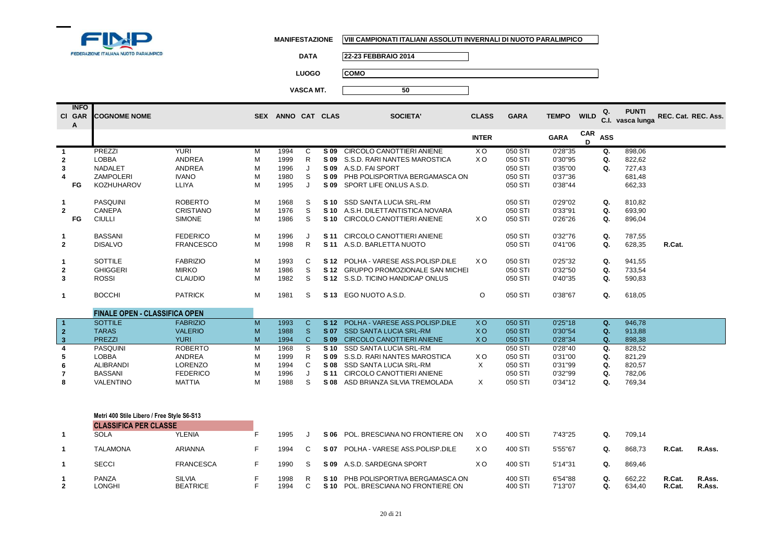

**1**

**2**

PANZA<br>LONGHI

SILVIA <sup>F</sup> <sup>1998</sup> <sup>R</sup>

F 1994

**BEATRICE** 

**MANIFESTAZIONE VIII CAMPIONATI ITALIANI ASSOLUTI INVERNALI DI NUOTO PARALIMPICO**

**DATA 22-23 FEBBRAIO 2014**

**LUOGO COMO**

**VASCA MT. 50**

|                         | <b>INFO</b><br>CI GAR<br>A | <b>COGNOME NOME</b>                        |                  |    | SEX ANNO CAT CLAS |              |                 | <b>SOCIETA'</b>                       | <b>CLASS</b> | <b>GARA</b> | <b>TEMPO</b> | <b>WILD</b>     | Q.         | <b>PUNTI</b><br>C.I. vasca lunga | REC. Cat. REC. Ass. |        |
|-------------------------|----------------------------|--------------------------------------------|------------------|----|-------------------|--------------|-----------------|---------------------------------------|--------------|-------------|--------------|-----------------|------------|----------------------------------|---------------------|--------|
|                         |                            |                                            |                  |    |                   |              |                 |                                       | <b>INTER</b> |             | <b>GARA</b>  | <b>CAR</b><br>D | <b>ASS</b> |                                  |                     |        |
|                         |                            | PREZZI                                     | <b>YURI</b>      | M  | 1994              | C            |                 | S 09 CIRCOLO CANOTTIERI ANIENE        | XO.          | 050 STI     | 0'28"35      |                 | Q.         | 898.06                           |                     |        |
| $\mathbf{2}$            |                            | <b>LOBBA</b>                               | <b>ANDREA</b>    | M  | 1999              | R.           |                 | S 09 S.S.D. RARI NANTES MAROSTICA     | XO.          | 050 STI     | 0'30"95      |                 | Q.         | 822,62                           |                     |        |
| 3                       |                            | <b>NADALET</b>                             | <b>ANDREA</b>    | M  | 1996              | J            |                 | S 09 A.S.D. FAI SPORT                 |              | 050 STI     | 0'35"00      |                 | Q.         | 727,43                           |                     |        |
|                         |                            | <b>ZAMPOLERI</b>                           | <b>IVANO</b>     | M  | 1980              | S            | S 09            | PHB POLISPORTIVA BERGAMASCA ON        |              | 050 STI     | 0'37"36      |                 |            | 681,48                           |                     |        |
|                         | FG                         | <b>KOZHUHAROV</b>                          | LLIYA            | M  | 1995              | J            |                 | S 09 SPORT LIFE ONLUS A.S.D.          |              | 050 STI     | 0'38"44      |                 |            | 662,33                           |                     |        |
| $\mathbf{1}$            |                            | <b>PASQUINI</b>                            | <b>ROBERTO</b>   | M  | 1968              | S            |                 | S 10 SSD SANTA LUCIA SRL-RM           |              | 050 STI     | 0'29"02      |                 | Q.         | 810.82                           |                     |        |
| $\overline{2}$          |                            | <b>CANEPA</b>                              | <b>CRISTIANO</b> | M  | 1976              | S            |                 | S 10 A.S.H. DILETTANTISTICA NOVARA    |              | 050 STI     | 0'33"91      |                 | Q.         | 693,90                           |                     |        |
|                         | FG                         | <b>CIULLI</b>                              | <b>SIMONE</b>    | M  | 1986              | S            |                 | S 10 CIRCOLO CANOTTIERI ANIENE        | XO.          | 050 STI     | 0'26"26      |                 | Q.         | 896,04                           |                     |        |
| $\mathbf{1}$            |                            | <b>BASSANI</b>                             | <b>FEDERICO</b>  | M  | 1996              | J            | S 11            | CIRCOLO CANOTTIERI ANIENE             |              | 050 STI     | 0'32"76      |                 | Q.         | 787,55                           |                     |        |
| $\overline{2}$          |                            | <b>DISALVO</b>                             | <b>FRANCESCO</b> | M  | 1998              | R.           | S 11            | A.S.D. BARLETTA NUOTO                 |              | 050 STI     | 0'41"06      |                 | Q.         | 628,35                           | R.Cat.              |        |
| -1                      |                            | <b>SOTTILE</b>                             | <b>FABRIZIO</b>  | M  | 1993              | C            |                 | S 12 POLHA - VARESE ASS. POLISP. DILE | X O          | 050 STI     | 0'25"32      |                 | Q.         | 941.55                           |                     |        |
| $\mathbf{2}$            |                            | <b>GHIGGERI</b>                            | <b>MIRKO</b>     | M  | 1986              | S            |                 | S 12 GRUPPO PROMOZIONALE SAN MICHEL   |              | 050 STI     | 0'32"50      |                 | Q.         | 733,54                           |                     |        |
| 3                       |                            | <b>ROSSI</b>                               | <b>CLAUDIO</b>   | M  | 1982              | S            |                 | S 12 S.S.D. TICINO HANDICAP ONLUS     |              | 050 STI     | 0'40"35      |                 | Q.         | 590,83                           |                     |        |
| $\mathbf{1}$            |                            | <b>BOCCHI</b>                              | <b>PATRICK</b>   | M  | 1981              | S            |                 | S 13 EGO NUOTO A.S.D.                 | $\circ$      | 050 STI     | 0'38"67      |                 | Q.         | 618,05                           |                     |        |
|                         |                            | <b>FINALE OPEN - CLASSIFICA OPEN</b>       |                  |    |                   |              |                 |                                       |              |             |              |                 |            |                                  |                     |        |
| $\blacksquare$          |                            | <b>SOTTILE</b>                             | <b>FABRIZIO</b>  | M  | 1993              | $\mathsf{C}$ | S <sub>12</sub> | POLHA - VARESE ASS.POLISP.DILE        | <b>XO</b>    | 050 STI     | 0'25"18      |                 | Q.         | 946,78                           |                     |        |
| $\mathbf{2}$            |                            | <b>TARAS</b>                               | <b>VALERIO</b>   | M  | 1988              | <sub>S</sub> | S 07            | <b>SSD SANTA LUCIA SRL-RM</b>         | <b>XO</b>    | 050 STI     | 0'30"54      |                 | Q.         | 913,88                           |                     |        |
| $\overline{\mathbf{3}}$ |                            | <b>PREZZI</b>                              | <b>YURI</b>      | M  | 1994              | $\mathsf{C}$ |                 | S 09 CIRCOLO CANOTTIERI ANIENE        | <b>XO</b>    | 050 STI     | 0'28"34      |                 | Q.         | 898,38                           |                     |        |
| 4                       |                            | PASQUINI                                   | <b>ROBERTO</b>   | M  | 1968              | S            |                 | S 10 SSD SANTA LUCIA SRL-RM           |              | 050 STI     | 0'28"40      |                 | Q.         | 828,52                           |                     |        |
| 5                       |                            | <b>LOBBA</b>                               | ANDREA           | M  | 1999              | R            |                 | S 09 S.S.D. RARI NANTES MAROSTICA     | X O          | 050 STI     | 0'31"00      |                 | Q.         | 821,29                           |                     |        |
| 6                       |                            | <b>ALIBRANDI</b>                           | <b>LORENZO</b>   | M  | 1994              | C            |                 | S 08 SSD SANTA LUCIA SRL-RM           | $\times$     | 050 STI     | 0'31"99      |                 | Q.         | 820,57                           |                     |        |
| 7                       |                            | <b>BASSANI</b>                             | <b>FEDERICO</b>  | M  | 1996              | J            | S 11            | CIRCOLO CANOTTIERI ANIENE             |              | 050 STI     | 0'32"99      |                 | Q.         | 782,06                           |                     |        |
| 8                       |                            | <b>VALENTINO</b>                           | <b>MATTIA</b>    | M  | 1988              | S            |                 | S 08 ASD BRIANZA SILVIA TREMOLADA     | $\times$     | 050 STI     | 0'34"12      |                 | Q.         | 769,34                           |                     |        |
|                         |                            |                                            |                  |    |                   |              |                 |                                       |              |             |              |                 |            |                                  |                     |        |
|                         |                            | Metri 400 Stile Libero / Free Style S6-S13 |                  |    |                   |              |                 |                                       |              |             |              |                 |            |                                  |                     |        |
|                         |                            | <b>CLASSIFICA PER CLASSE</b>               |                  |    |                   |              |                 |                                       |              |             |              |                 |            |                                  |                     |        |
| $\mathbf{1}$            |                            | <b>SOLA</b>                                | <b>YLENIA</b>    | F. | 1995              | J            | S 06            | POL. BRESCIANA NO FRONTIERE ON        | X O          | 400 STI     | 7'43"25      |                 | Q.         | 709,14                           |                     |        |
| $\mathbf{1}$            |                            | <b>TALAMONA</b>                            | <b>ARIANNA</b>   | F  | 1994              | C            |                 | S 07 POLHA - VARESE ASS POLISP DILE   | X O          | 400 STI     | 5'55"67      |                 | Q.         | 868,73                           | R.Cat.              | R.Ass. |
| $\mathbf{1}$            |                            | <b>SECCI</b>                               | <b>FRANCESCA</b> | F  | 1990              | S            |                 | S 09 A.S.D. SARDEGNA SPORT            | X O          | 400 STI     | 5'14"31      |                 | Q.         | 869,46                           |                     |        |

**S 10 POL. BRESCIANA NO FRONTIERE ON** 

**S 10** PHB POLISPORTIVA BERGAMASCA ONLUS 400 STI 6'54"88 **Q.** 662,22 **R.Cat. R.Ass.**